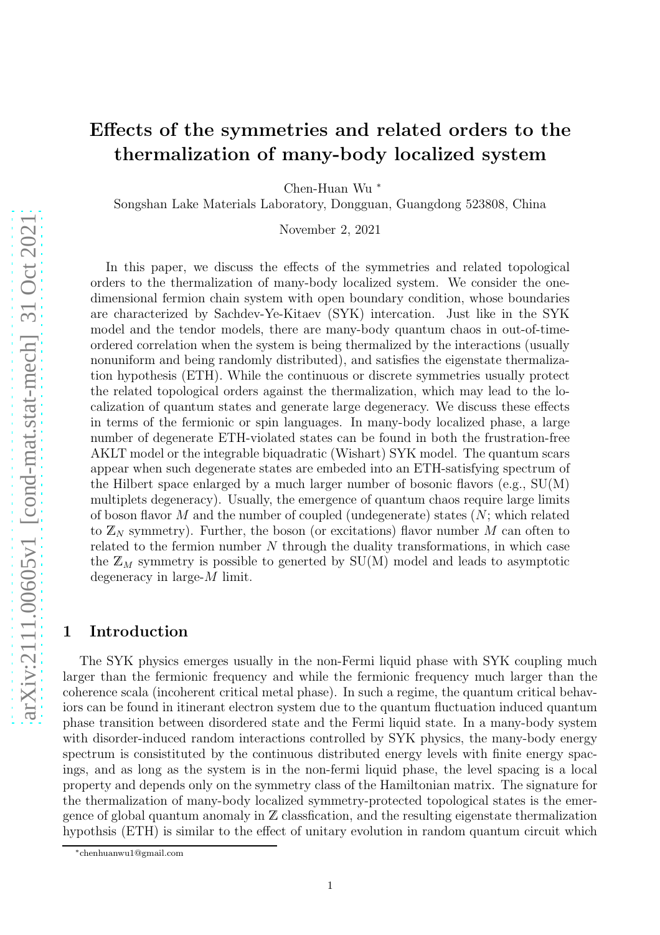# Effects of the symmetries and related orders to the thermalization of many-body localized system

Chen-Huan Wu <sup>∗</sup>

Songshan Lake Materials Laboratory, Dongguan, Guangdong 523808, China

November 2, 2021

In this paper, we discuss the effects of the symmetries and related topological orders to the thermalization of many-body localized system. We consider the onedimensional fermion chain system with open boundary condition, whose boundaries are characterized by Sachdev-Ye-Kitaev (SYK) intercation. Just like in the SYK model and the tendor models, there are many-body quantum chaos in out-of-timeordered correlation when the system is being thermalized by the interactions (usually nonuniform and being randomly distributed), and satisfies the eigenstate thermalization hypothesis (ETH). While the continuous or discrete symmetries usually protect the related topological orders against the thermalization, which may lead to the localization of quantum states and generate large degeneracy. We discuss these effects in terms of the fermionic or spin languages. In many-body localized phase, a large number of degenerate ETH-violated states can be found in both the frustration-free AKLT model or the integrable biquadratic (Wishart) SYK model. The quantum scars appear when such degenerate states are embeded into an ETH-satisfying spectrum of the Hilbert space enlarged by a much larger number of bosonic flavors (e.g.,  $SU(M)$ ) multiplets degeneracy). Usually, the emergence of quantum chaos require large limits of boson flavor  $M$  and the number of coupled (undegenerate) states  $(N;$  which related to  $\mathbb{Z}_N$  symmetry). Further, the boson (or excitations) flavor number M can often to related to the fermion number  $N$  through the duality transformations, in which case the  $\mathbb{Z}_M$  symmetry is possible to generted by SU(M) model and leads to asymptotic degeneracy in large-M limit.

#### 1 Introduction

The SYK physics emerges usually in the non-Fermi liquid phase with SYK coupling much larger than the fermionic frequency and while the fermionic frequency much larger than the coherence scala (incoherent critical metal phase). In such a regime, the quantum critical behaviors can be found in itinerant electron system due to the quantum fluctuation induced quantum phase transition between disordered state and the Fermi liquid state. In a many-body system with disorder-induced random interactions controlled by SYK physics, the many-body energy spectrum is consistituted by the continuous distributed energy levels with finite energy spacings, and as long as the system is in the non-fermi liquid phase, the level spacing is a local property and depends only on the symmetry class of the Hamiltonian matrix. The signature for the thermalization of many-body localized symmetry-protected topological states is the emergence of global quantum anomaly in  $\mathbb Z$  classfication, and the resulting eigenstate thermalization hypothsis (ETH) is similar to the effect of unitary evolution in random quantum circuit which

<sup>∗</sup>chenhuanwu1@gmail.com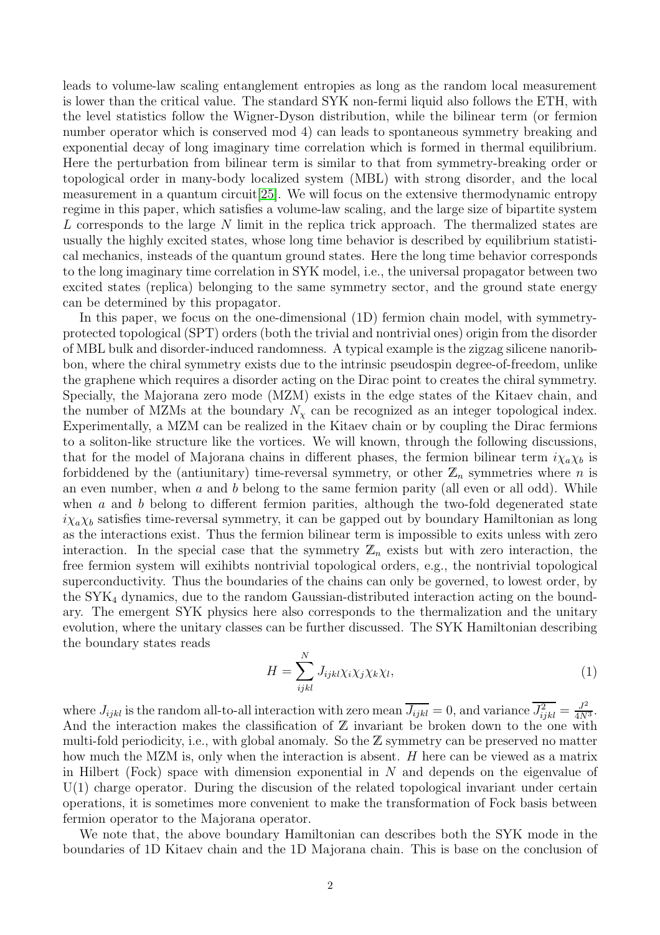leads to volume-law scaling entanglement entropies as long as the random local measurement is lower than the critical value. The standard SYK non-fermi liquid also follows the ETH, with the level statistics follow the Wigner-Dyson distribution, while the bilinear term (or fermion number operator which is conserved mod 4) can leads to spontaneous symmetry breaking and exponential decay of long imaginary time correlation which is formed in thermal equilibrium. Here the perturbation from bilinear term is similar to that from symmetry-breaking order or topological order in many-body localized system (MBL) with strong disorder, and the local measurement in a quantum circuit[25]. We will focus on the extensive thermodynamic entropy regime in this paper, which satisfies a volume-law scaling, and the large size of bipartite system L corresponds to the large N limit in the replica trick approach. The thermalized states are usually the highly excited states, whose long time behavior is described by equilibrium statistical mechanics, insteads of the quantum ground states. Here the long time behavior corresponds to the long imaginary time correlation in SYK model, i.e., the universal propagator between two excited states (replica) belonging to the same symmetry sector, and the ground state energy can be determined by this propagator.

In this paper, we focus on the one-dimensional (1D) fermion chain model, with symmetryprotected topological (SPT) orders (both the trivial and nontrivial ones) origin from the disorder of MBL bulk and disorder-induced randomness. A typical example is the zigzag silicene nanoribbon, where the chiral symmetry exists due to the intrinsic pseudospin degree-of-freedom, unlike the graphene which requires a disorder acting on the Dirac point to creates the chiral symmetry. Specially, the Majorana zero mode (MZM) exists in the edge states of the Kitaev chain, and the number of MZMs at the boundary  $N_{\chi}$  can be recognized as an integer topological index. Experimentally, a MZM can be realized in the Kitaev chain or by coupling the Dirac fermions to a soliton-like structure like the vortices. We will known, through the following discussions, that for the model of Majorana chains in different phases, the fermion bilinear term  $i\chi_a\chi_b$  is forbiddened by the (antiunitary) time-reversal symmetry, or other  $\mathbb{Z}_n$  symmetries where n is an even number, when  $a$  and  $b$  belong to the same fermion parity (all even or all odd). While when  $\alpha$  and  $\delta$  belong to different fermion parities, although the two-fold degenerated state  $i\chi_a\chi_b$  satisfies time-reversal symmetry, it can be gapped out by boundary Hamiltonian as long as the interactions exist. Thus the fermion bilinear term is impossible to exits unless with zero interaction. In the special case that the symmetry  $\mathbb{Z}_n$  exists but with zero interaction, the free fermion system will exihibts nontrivial topological orders, e.g., the nontrivial topological superconductivity. Thus the boundaries of the chains can only be governed, to lowest order, by the SYK<sup>4</sup> dynamics, due to the random Gaussian-distributed interaction acting on the boundary. The emergent SYK physics here also corresponds to the thermalization and the unitary evolution, where the unitary classes can be further discussed. The SYK Hamiltonian describing the boundary states reads

$$
H = \sum_{ijkl}^{N} J_{ijkl} \chi_i \chi_j \chi_k \chi_l,\tag{1}
$$

where  $J_{ijkl}$  is the random all-to-all interaction with zero mean  $\overline{J_{ijkl}} = 0$ , and variance  $\overline{J_{ijkl}^2} = \frac{J^2}{4N^3}$ . And the interaction makes the classification of  $\mathbb Z$  invariant be broken down to the one with multi-fold periodicity, i.e., with global anomaly. So the Z symmetry can be preserved no matter how much the MZM is, only when the interaction is absent. H here can be viewed as a matrix in Hilbert (Fock) space with dimension exponential in  $N$  and depends on the eigenvalue of U(1) charge operator. During the discusion of the related topological invariant under certain operations, it is sometimes more convenient to make the transformation of Fock basis between fermion operator to the Majorana operator.

We note that, the above boundary Hamiltonian can describes both the SYK mode in the boundaries of 1D Kitaev chain and the 1D Majorana chain. This is base on the conclusion of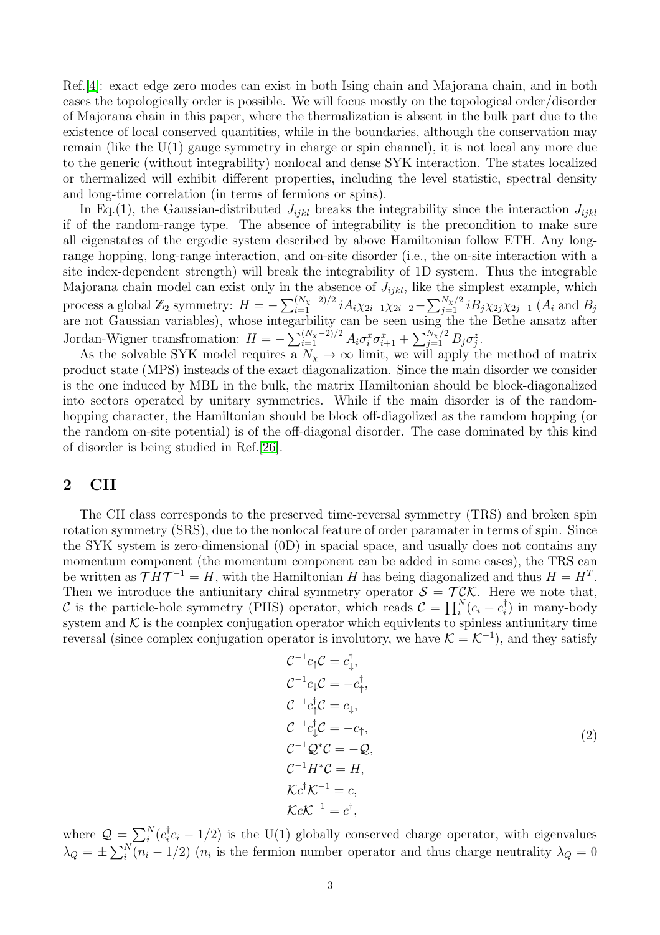Ref.[4]: exact edge zero modes can exist in both Ising chain and Majorana chain, and in both cases the topologically order is possible. We will focus mostly on the topological order/disorder of Majorana chain in this paper, where the thermalization is absent in the bulk part due to the existence of local conserved quantities, while in the boundaries, although the conservation may remain (like the  $U(1)$  gauge symmetry in charge or spin channel), it is not local any more due to the generic (without integrability) nonlocal and dense SYK interaction. The states localized or thermalized will exhibit different properties, including the level statistic, spectral density and long-time correlation (in terms of fermions or spins).

In Eq.(1), the Gaussian-distributed  $J_{ijkl}$  breaks the integrability since the interaction  $J_{ijkl}$ if of the random-range type. The absence of integrability is the precondition to make sure all eigenstates of the ergodic system described by above Hamiltonian follow ETH. Any longrange hopping, long-range interaction, and on-site disorder (i.e., the on-site interaction with a site index-dependent strength) will break the integrability of 1D system. Thus the integrable Majorana chain model can exist only in the absence of  $J_{ijkl}$ , like the simplest example, which process a global  $\mathbb{Z}_2$  symmetry:  $H = -\sum_{i=1}^{(N_\chi-2)/2} iA_i\chi_{2i-1}\chi_{2i+2} - \sum_{j=1}^{N_\chi/2} iB_j\chi_{2j}\chi_{2j-1}$   $(A_i \text{ and } B_j)$ are not Gaussian variables), whose integarbility can be seen using the the Bethe ansatz after Jordan-Wigner transfromation:  $H = -\sum_{i=1}^{(N_X-2)/2} A_i \sigma_i^x \sigma_{i+1}^x + \sum_{j=1}^{N_X/2} B_j \sigma_j^z$ .

As the solvable SYK model requires a  $N_{\chi} \to \infty$  limit, we will apply the method of matrix product state (MPS) insteads of the exact diagonalization. Since the main disorder we consider is the one induced by MBL in the bulk, the matrix Hamiltonian should be block-diagonalized into sectors operated by unitary symmetries. While if the main disorder is of the randomhopping character, the Hamiltonian should be block off-diagolized as the ramdom hopping (or the random on-site potential) is of the off-diagonal disorder. The case dominated by this kind of disorder is being studied in Ref.[26].

## 2 CII

The CII class corresponds to the preserved time-reversal symmetry (TRS) and broken spin rotation symmetry (SRS), due to the nonlocal feature of order paramater in terms of spin. Since the SYK system is zero-dimensional (0D) in spacial space, and usually does not contains any momentum component (the momentum component can be added in some cases), the TRS can be written as  $THT^{-1} = H$ , with the Hamiltonian H has being diagonalized and thus  $H = H^T$ . Then we introduce the antiunitary chiral symmetry operator  $S = T\mathcal{CK}$ . Here we note that, C is the particle-hole symmetry (PHS) operator, which reads  $\mathcal{C} = \prod_i^N (c_i + c_i^{\dagger})$  in many-body system and  $K$  is the complex conjugation operator which equivlents to spinless antiunitary time reversal (since complex conjugation operator is involutory, we have  $\mathcal{K} = \mathcal{K}^{-1}$ ), and they satisfy

$$
C^{-1}c_{\uparrow}C = c_{\downarrow}^{\dagger},
$$
  
\n
$$
C^{-1}c_{\downarrow}C = -c_{\uparrow}^{\dagger},
$$
  
\n
$$
C^{-1}c_{\uparrow}^{\dagger}C = c_{\downarrow},
$$
  
\n
$$
C^{-1}c_{\downarrow}^{\dagger}C = -c_{\uparrow},
$$
  
\n
$$
C^{-1}Q^{*}C = -Q,
$$
  
\n
$$
C^{-1}H^{*}C = H,
$$
  
\n
$$
Kc^{*}K^{-1} = c^{\dagger},
$$
  
\n(2)

where  $\mathcal{Q} = \sum_{i}^{N} (c_i^{\dagger} c_i - 1/2)$  is the U(1) globally conserved charge operator, with eigenvalues  $\lambda_Q = \pm \sum_i^N (n_i - 1/2)$  ( $n_i$  is the fermion number operator and thus charge neutrality  $\lambda_Q = 0$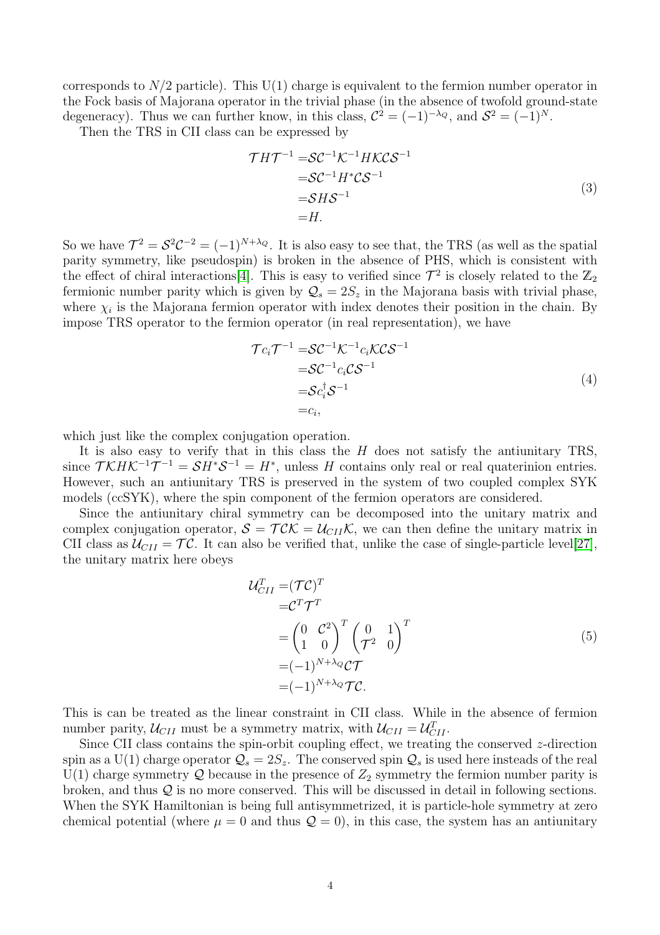corresponds to  $N/2$  particle). This  $U(1)$  charge is equivalent to the fermion number operator in the Fock basis of Majorana operator in the trivial phase (in the absence of twofold ground-state degeneracy). Thus we can further know, in this class,  $C^2 = (-1)^{-\lambda_Q}$ , and  $S^2 = (-1)^N$ .

Then the TRS in CII class can be expressed by

$$
\begin{aligned} \mathcal{T}H\mathcal{T}^{-1} &= \mathcal{SC}^{-1}\mathcal{K}^{-1}HK\mathcal{CS}^{-1} \\ &= \mathcal{SC}^{-1}H^*\mathcal{CS}^{-1} \\ &= \mathcal{S}H\mathcal{S}^{-1} \\ &= H. \end{aligned} \tag{3}
$$

So we have  $\mathcal{T}^2 = \mathcal{S}^2 \mathcal{C}^{-2} = (-1)^{N+\lambda_Q}$ . It is also easy to see that, the TRS (as well as the spatial parity symmetry, like pseudospin) is broken in the absence of PHS, which is consistent with the effect of chiral interactions [4]. This is easy to verified since  $\mathcal{T}^2$  is closely related to the  $\mathbb{Z}_2$ fermionic number parity which is given by  $\mathcal{Q}_s = 2S_z$  in the Majorana basis with trivial phase, where  $\chi_i$  is the Majorana fermion operator with index denotes their position in the chain. By impose TRS operator to the fermion operator (in real representation), we have

$$
\begin{aligned} \mathcal{T}c_i \mathcal{T}^{-1} &= \mathcal{SC}^{-1} \mathcal{K}^{-1} c_i \mathcal{K} \mathcal{CS}^{-1} \\ &= \mathcal{SC}^{-1} c_i \mathcal{CS}^{-1} \\ &= \mathcal{SC}_i^{\dagger} \mathcal{S}^{-1} \\ &= c_i, \end{aligned} \tag{4}
$$

which just like the complex conjugation operation.

It is also easy to verify that in this class the  $H$  does not satisfy the antiunitary TRS, since  $\mathcal{T}\mathcal{K}H\mathcal{K}^{-1}\mathcal{T}^{-1} = \mathcal{S}H^*\mathcal{S}^{-1} = H^*$ , unless H contains only real or real quaterinion entries. However, such an antiunitary TRS is preserved in the system of two coupled complex SYK models (ccSYK), where the spin component of the fermion operators are considered.

Since the antiunitary chiral symmetry can be decomposed into the unitary matrix and complex conjugation operator,  $S = TCK = U_{CII}K$ , we can then define the unitary matrix in CII class as  $U_{CII} = T\mathcal{C}$ . It can also be verified that, unlike the case of single-particle level[27], the unitary matrix here obeys

$$
\mathcal{U}_{CII}^{T} = (\mathcal{T}C)^{T}
$$
  
\n
$$
= \mathcal{C}^{T}\mathcal{T}^{T}
$$
  
\n
$$
= \begin{pmatrix} 0 & \mathcal{C}^{2} \\ 1 & 0 \end{pmatrix}^{T} \begin{pmatrix} 0 & 1 \\ \mathcal{T}^{2} & 0 \end{pmatrix}^{T}
$$
  
\n
$$
= (-1)^{N+\lambda_{Q}} \mathcal{T}^{T}
$$
  
\n
$$
= (-1)^{N+\lambda_{Q}} \mathcal{T}^{C}.
$$
 (5)

This is can be treated as the linear constraint in CII class. While in the absence of fermion number parity,  $U_{CII}$  must be a symmetry matrix, with  $U_{CII} = U_{CII}^T$ .

Since CII class contains the spin-orbit coupling effect, we treating the conserved  $z$ -direction spin as a U(1) charge operator  $\mathcal{Q}_s = 2S_z$ . The conserved spin  $\mathcal{Q}_s$  is used here insteads of the real  $U(1)$  charge symmetry Q because in the presence of  $Z_2$  symmetry the fermion number parity is broken, and thus Q is no more conserved. This will be discussed in detail in following sections. When the SYK Hamiltonian is being full antisymmetrized, it is particle-hole symmetry at zero chemical potential (where  $\mu = 0$  and thus  $\mathcal{Q} = 0$ ), in this case, the system has an antiunitary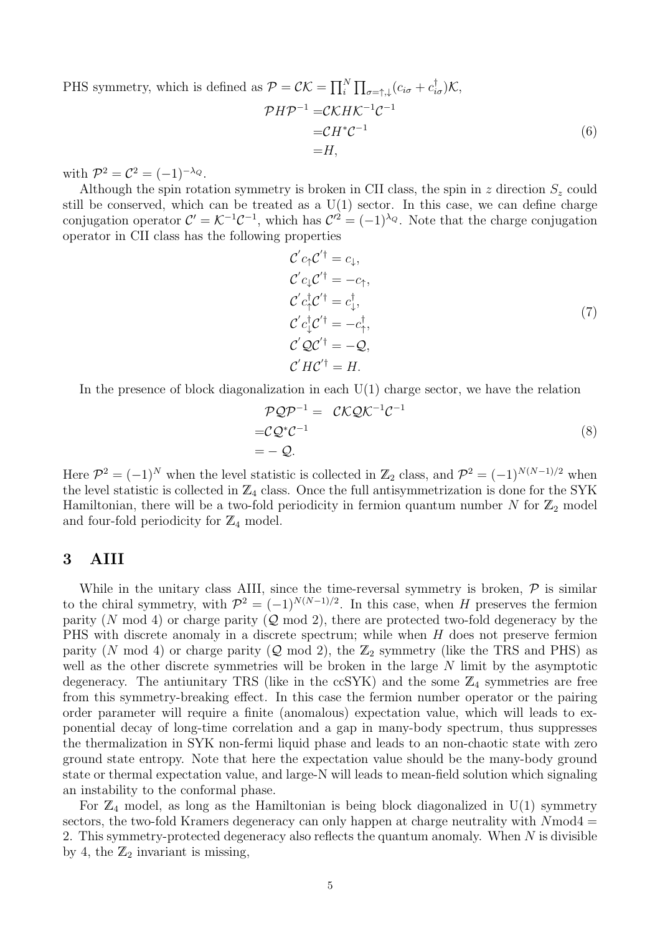PHS symmetry, which is defined as  $\mathcal{P} = \mathcal{CK} = \prod_{i}^{N} \prod_{\sigma = \uparrow, \downarrow} (c_{i\sigma} + c_{i\sigma}^{\dagger})\mathcal{K}$ ,

$$
\mathcal{P}H\mathcal{P}^{-1} = \mathcal{C}\mathcal{K}H\mathcal{K}^{-1}\mathcal{C}^{-1}
$$
  
=\mathcal{C}H^\*\mathcal{C}^{-1}  
=H, (6)

with  $\mathcal{P}^2 = \mathcal{C}^2 = (-1)^{-\lambda_Q}$ .

Although the spin rotation symmetry is broken in CII class, the spin in z direction  $S_z$  could still be conserved, which can be treated as a  $U(1)$  sector. In this case, we can define charge conjugation operator  $\mathcal{C}' = \mathcal{K}^{-1}\mathcal{C}^{-1}$ , which has  $\mathcal{C}'^2 = (-1)^{\lambda_Q}$ . Note that the charge conjugation operator in CII class has the following properties

$$
C'c_{\uparrow}C'^{\dagger} = c_{\downarrow},
$$
  
\n
$$
C'c_{\downarrow}C'^{\dagger} = -c_{\uparrow},
$$
  
\n
$$
C'c_{\uparrow}^{\dagger}C'^{\dagger} = c_{\downarrow}^{\dagger},
$$
  
\n
$$
C'c_{\downarrow}^{\dagger}C'^{\dagger} = -c_{\uparrow}^{\dagger},
$$
  
\n
$$
C'QC'^{\dagger} = -Q,
$$
  
\n
$$
C'HC'^{\dagger} = H.
$$
\n(7)

In the presence of block diagonalization in each  $U(1)$  charge sector, we have the relation

$$
\mathcal{P}\mathcal{Q}\mathcal{P}^{-1} = \mathcal{CK}\mathcal{Q}\mathcal{K}^{-1}\mathcal{C}^{-1}
$$
  
= $\mathcal{C}\mathcal{Q}^*\mathcal{C}^{-1}$   
= $-\mathcal{Q}$ . (8)

Here  $\mathcal{P}^2 = (-1)^N$  when the level statistic is collected in  $\mathbb{Z}_2$  class, and  $\mathcal{P}^2 = (-1)^{N(N-1)/2}$  when the level statistic is collected in  $\mathbb{Z}_4$  class. Once the full antisymmetrization is done for the SYK Hamiltonian, there will be a two-fold periodicity in fermion quantum number N for  $\mathbb{Z}_2$  model and four-fold periodicity for  $\mathbb{Z}_4$  model.

## 3 AIII

While in the unitary class AIII, since the time-reversal symmetry is broken,  $P$  is similar to the chiral symmetry, with  $\mathcal{P}^2 = (-1)^{N(N-1)/2}$ . In this case, when H preserves the fermion parity (N mod 4) or charge parity (Q mod 2), there are protected two-fold degeneracy by the PHS with discrete anomaly in a discrete spectrum; while when H does not preserve fermion parity (N mod 4) or charge parity (Q mod 2), the  $\mathbb{Z}_2$  symmetry (like the TRS and PHS) as well as the other discrete symmetries will be broken in the large  $N$  limit by the asymptotic degeneracy. The antiunitary TRS (like in the  $ccSYK$ ) and the some  $\mathbb{Z}_4$  symmetries are free from this symmetry-breaking effect. In this case the fermion number operator or the pairing order parameter will require a finite (anomalous) expectation value, which will leads to exponential decay of long-time correlation and a gap in many-body spectrum, thus suppresses the thermalization in SYK non-fermi liquid phase and leads to an non-chaotic state with zero ground state entropy. Note that here the expectation value should be the many-body ground state or thermal expectation value, and large-N will leads to mean-field solution which signaling an instability to the conformal phase.

For  $\mathbb{Z}_4$  model, as long as the Hamiltonian is being block diagonalized in U(1) symmetry sectors, the two-fold Kramers degeneracy can only happen at charge neutrality with  $N_{\text{mod}}4 =$ 2. This symmetry-protected degeneracy also reflects the quantum anomaly. When N is divisible by 4, the  $\mathbb{Z}_2$  invariant is missing,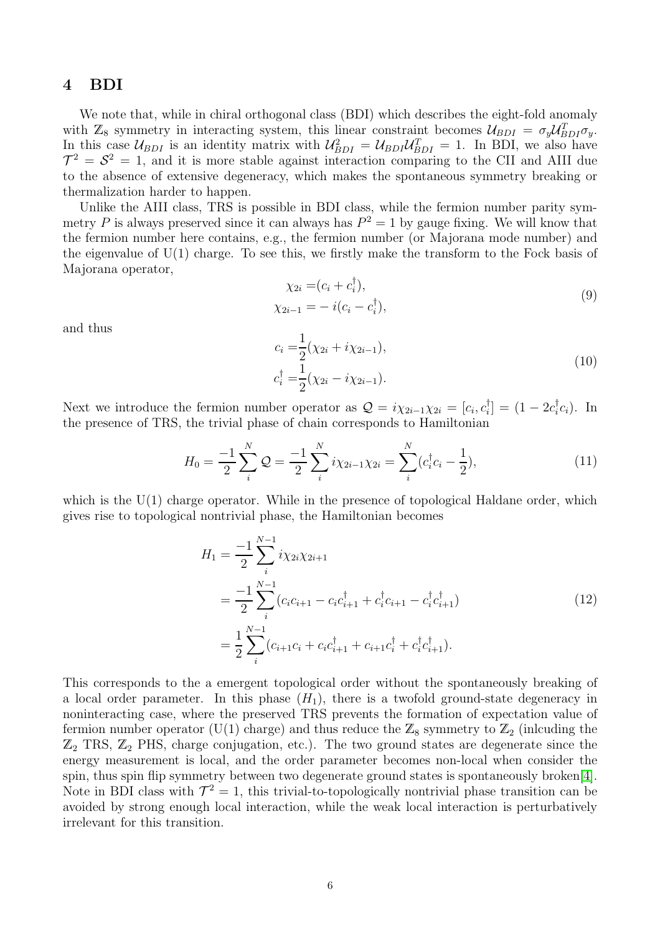## 4 BDI

We note that, while in chiral orthogonal class (BDI) which describes the eight-fold anomaly with  $\mathbb{Z}_8$  symmetry in interacting system, this linear constraint becomes  $\mathcal{U}_{BDI} = \sigma_y \mathcal{U}_{BDI}^T \sigma_y$ . In this case  $\mathcal{U}_{BDI}$  is an identity matrix with  $\mathcal{U}_{BDI}^2 = \mathcal{U}_{BDI} \mathcal{U}_{BDI}^T = 1$ . In BDI, we also have  $\mathcal{T}^2 = \mathcal{S}^2 = 1$ , and it is more stable against interaction comparing to the CII and AIII due to the absence of extensive degeneracy, which makes the spontaneous symmetry breaking or thermalization harder to happen.

Unlike the AIII class, TRS is possible in BDI class, while the fermion number parity symmetry P is always preserved since it can always has  $P^2 = 1$  by gauge fixing. We will know that the fermion number here contains, e.g., the fermion number (or Majorana mode number) and the eigenvalue of  $U(1)$  charge. To see this, we firstly make the transform to the Fock basis of Majorana operator,

$$
\chi_{2i} = (c_i + c_i^{\dagger}), \n\chi_{2i-1} = -i(c_i - c_i^{\dagger}),
$$
\n(9)

and thus

$$
c_i = \frac{1}{2}(\chi_{2i} + i\chi_{2i-1}),
$$
  
\n
$$
c_i^{\dagger} = \frac{1}{2}(\chi_{2i} - i\chi_{2i-1}).
$$
\n(10)

Next we introduce the fermion number operator as  $\mathcal{Q} = i\chi_{2i-1}\chi_{2i} = [c_i, c_i] = (1 - 2c_i^{\dagger}c_i)$ . In the presence of TRS, the trivial phase of chain corresponds to Hamiltonian

$$
H_0 = \frac{-1}{2} \sum_{i}^{N} Q = \frac{-1}{2} \sum_{i}^{N} i \chi_{2i-1} \chi_{2i} = \sum_{i}^{N} (c_i^{\dagger} c_i - \frac{1}{2}), \tag{11}
$$

which is the  $U(1)$  charge operator. While in the presence of topological Haldane order, which gives rise to topological nontrivial phase, the Hamiltonian becomes

$$
H_1 = \frac{-1}{2} \sum_{i}^{N-1} i \chi_{2i} \chi_{2i+1}
$$
  
= 
$$
\frac{-1}{2} \sum_{i}^{N-1} (c_i c_{i+1} - c_i c_{i+1}^{\dagger} + c_i^{\dagger} c_{i+1} - c_i^{\dagger} c_{i+1}^{\dagger})
$$
  
= 
$$
\frac{1}{2} \sum_{i}^{N-1} (c_{i+1} c_i + c_i c_{i+1}^{\dagger} + c_{i+1} c_i^{\dagger} + c_i^{\dagger} c_{i+1}^{\dagger}).
$$
 (12)

This corresponds to the a emergent topological order without the spontaneously breaking of a local order parameter. In this phase  $(H_1)$ , there is a twofold ground-state degeneracy in noninteracting case, where the preserved TRS prevents the formation of expectation value of fermion number operator (U(1) charge) and thus reduce the  $\mathbb{Z}_8$  symmetry to  $\mathbb{Z}_2$  (inlcuding the  $\mathbb{Z}_2$  TRS,  $\mathbb{Z}_2$  PHS, charge conjugation, etc.). The two ground states are degenerate since the energy measurement is local, and the order parameter becomes non-local when consider the spin, thus spin flip symmetry between two degenerate ground states is spontaneously broken[4]. Note in BDI class with  $\mathcal{T}^2 = 1$ , this trivial-to-topologically nontrivial phase transition can be avoided by strong enough local interaction, while the weak local interaction is perturbatively irrelevant for this transition.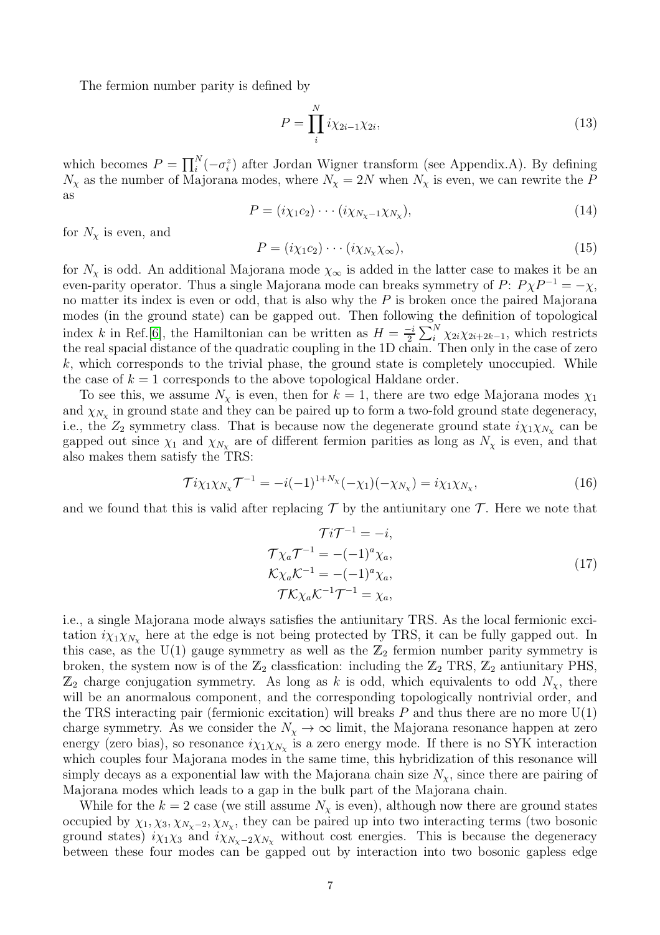The fermion number parity is defined by

$$
P = \prod_{i}^{N} i\chi_{2i-1}\chi_{2i},\tag{13}
$$

which becomes  $P = \prod_i^N(-\sigma_i^z)$  after Jordan Wigner transform (see Appendix.A). By defining  $N_{\chi}$  as the number of Majorana modes, where  $N_{\chi} = 2N$  when  $N_{\chi}$  is even, we can rewrite the P as

$$
P = (i\chi_1 c_2) \cdots (i\chi_{N_\chi - 1} \chi_{N_\chi}), \tag{14}
$$

for  $N_{\chi}$  is even, and

$$
P = (i\chi_1 c_2) \cdots (i\chi_{N_\chi} \chi_\infty), \tag{15}
$$

for  $N_\chi$  is odd. An additional Majorana mode  $\chi_\infty$  is added in the latter case to makes it be an even-parity operator. Thus a single Majorana mode can breaks symmetry of  $P: P\chi P^{-1} = -\chi$ , no matter its index is even or odd, that is also why the  $P$  is broken once the paired Majorana modes (in the ground state) can be gapped out. Then following the definition of topological index k in Ref.[6], the Hamiltonian can be written as  $H = -\frac{i}{2} \sum_{i=1}^{N} \chi_{2i} \chi_{2i+2k-1}$ , which restricts the real spacial distance of the quadratic coupling in the 1D chain. Then only in the case of zero  $k$ , which corresponds to the trivial phase, the ground state is completely unoccupied. While the case of  $k = 1$  corresponds to the above topological Haldane order.

To see this, we assume  $N_{\chi}$  is even, then for  $k = 1$ , there are two edge Majorana modes  $\chi_1$ and  $\chi_{N_{\chi}}$  in ground state and they can be paired up to form a two-fold ground state degeneracy, i.e., the  $Z_2$  symmetry class. That is because now the degenerate ground state  $i\chi_1\chi_{N_\chi}$  can be gapped out since  $\chi_1$  and  $\chi_{N_x}$  are of different fermion parities as long as  $N_\chi$  is even, and that also makes them satisfy the TRS:

$$
\mathcal{T}i\chi_1\chi_{N_\chi}\mathcal{T}^{-1} = -i(-1)^{1+N_\chi}(-\chi_1)(-\chi_{N_\chi}) = i\chi_1\chi_{N_\chi},\tag{16}
$$

and we found that this is valid after replacing  $\mathcal T$  by the antiunitary one  $\mathcal T$ . Here we note that

$$
\mathcal{T}i\mathcal{T}^{-1} = -i,
$$
  
\n
$$
\mathcal{T}\chi_a\mathcal{T}^{-1} = -(-1)^a \chi_a,
$$
  
\n
$$
\mathcal{K}\chi_a\mathcal{K}^{-1} = -(-1)^a \chi_a,
$$
  
\n
$$
\mathcal{T}\mathcal{K}\chi_a\mathcal{K}^{-1}\mathcal{T}^{-1} = \chi_a,
$$
\n(17)

i.e., a single Majorana mode always satisfies the antiunitary TRS. As the local fermionic excitation  $i\chi_1\chi_{N_\chi}$  here at the edge is not being protected by TRS, it can be fully gapped out. In this case, as the U(1) gauge symmetry as well as the  $\mathbb{Z}_2$  fermion number parity symmetry is broken, the system now is of the  $\mathbb{Z}_2$  classfication: including the  $\mathbb{Z}_2$  TRS,  $\mathbb{Z}_2$  antiunitary PHS,  $\mathbb{Z}_2$  charge conjugation symmetry. As long as k is odd, which equivalents to odd  $N_\chi$ , there will be an anormalous component, and the corresponding topologically nontrivial order, and the TRS interacting pair (fermionic excitation) will breaks  $P$  and thus there are no more  $U(1)$ charge symmetry. As we consider the  $N_{\chi} \to \infty$  limit, the Majorana resonance happen at zero energy (zero bias), so resonance  $i\chi_1\chi_{N_\chi}$  is a zero energy mode. If there is no SYK interaction which couples four Majorana modes in the same time, this hybridization of this resonance will simply decays as a exponential law with the Majorana chain size  $N_{\chi}$ , since there are pairing of Majorana modes which leads to a gap in the bulk part of the Majorana chain.

While for the  $k = 2$  case (we still assume  $N_{\chi}$  is even), although now there are ground states occupied by  $\chi_1, \chi_3, \chi_{N_\chi-2}, \chi_{N_\chi}$ , they can be paired up into two interacting terms (two bosonic ground states)  $i\chi_1\chi_3$  and  $i\chi_{N_\chi-2}\chi_{N_\chi}$  without cost energies. This is because the degeneracy between these four modes can be gapped out by interaction into two bosonic gapless edge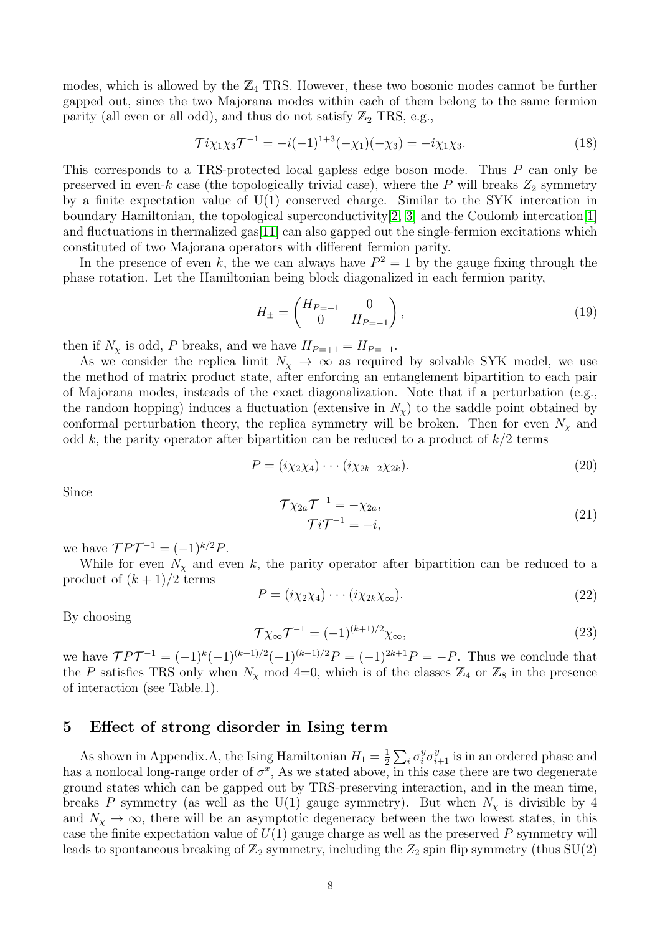modes, which is allowed by the  $\mathbb{Z}_4$  TRS. However, these two bosonic modes cannot be further gapped out, since the two Majorana modes within each of them belong to the same fermion parity (all even or all odd), and thus do not satisfy  $\mathbb{Z}_2$  TRS, e.g.,

$$
\mathcal{T}i\chi_1\chi_3\mathcal{T}^{-1} = -i(-1)^{1+3}(-\chi_1)(-\chi_3) = -i\chi_1\chi_3.
$$
 (18)

This corresponds to a TRS-protected local gapless edge boson mode. Thus P can only be preserved in even-k case (the topologically trivial case), where the P will breaks  $Z_2$  symmetry by a finite expectation value of U(1) conserved charge. Similar to the SYK intercation in boundary Hamiltonian, the topological superconductivity[2, 3] and the Coulomb intercation[1] and fluctuations in thermalized gas[11] can also gapped out the single-fermion excitations which constituted of two Majorana operators with different fermion parity.

In the presence of even k, the we can always have  $P^2 = 1$  by the gauge fixing through the phase rotation. Let the Hamiltonian being block diagonalized in each fermion parity,

$$
H_{\pm} = \begin{pmatrix} H_{P=+1} & 0 \\ 0 & H_{P=-1} \end{pmatrix},
$$
\n(19)

then if  $N_\chi$  is odd, P breaks, and we have  $H_{P=+1} = H_{P=-1}$ .

As we consider the replica limit  $N_{\chi} \rightarrow \infty$  as required by solvable SYK model, we use the method of matrix product state, after enforcing an entanglement bipartition to each pair of Majorana modes, insteads of the exact diagonalization. Note that if a perturbation (e.g., the random hopping) induces a fluctuation (extensive in  $N_{\chi}$ ) to the saddle point obtained by conformal perturbation theory, the replica symmetry will be broken. Then for even  $N_{\chi}$  and odd k, the parity operator after bipartition can be reduced to a product of  $k/2$  terms

$$
P = (i\chi_2\chi_4)\cdots(i\chi_{2k-2}\chi_{2k}).\tag{20}
$$

Since

$$
\mathcal{T}\chi_{2a}\mathcal{T}^{-1} = -\chi_{2a}, \n\mathcal{T}i\mathcal{T}^{-1} = -i,
$$
\n(21)

we have  $\mathcal{T} P \mathcal{T}^{-1} = (-1)^{k/2} P$ .

While for even  $N_{\chi}$  and even k, the parity operator after bipartition can be reduced to a product of  $(k+1)/2$  terms

$$
P = (i\chi_2\chi_4)\cdots(i\chi_{2k}\chi_\infty). \tag{22}
$$

By choosing

$$
\mathcal{T}\chi_{\infty}\mathcal{T}^{-1} = (-1)^{(k+1)/2}\chi_{\infty},\tag{23}
$$

we have  $\mathcal{T} P \mathcal{T}^{-1} = (-1)^k (-1)^{(k+1)/2} (-1)^{(k+1)/2} P = (-1)^{2k+1} P = -P$ . Thus we conclude that the P satisfies TRS only when  $N_{\chi}$  mod 4=0, which is of the classes  $\mathbb{Z}_4$  or  $\mathbb{Z}_8$  in the presence of interaction (see Table.1).

#### 5 Effect of strong disorder in Ising term

As shown in Appendix.A, the Ising Hamiltonian  $H_1 = \frac{1}{2}$  $\frac{1}{2} \sum_i \sigma_i^y \sigma_{i+1}^y$  is in an ordered phase and has a nonlocal long-range order of  $\sigma^x$ , As we stated above, in this case there are two degenerate ground states which can be gapped out by TRS-preserving interaction, and in the mean time, breaks P symmetry (as well as the U(1) gauge symmetry). But when  $N_{\chi}$  is divisible by 4 and  $N_{\chi} \to \infty$ , there will be an asymptotic degeneracy between the two lowest states, in this case the finite expectation value of  $U(1)$  gauge charge as well as the preserved P symmetry will leads to spontaneous breaking of  $\mathbb{Z}_2$  symmetry, including the  $\mathbb{Z}_2$  spin flip symmetry (thus  $SU(2)$ )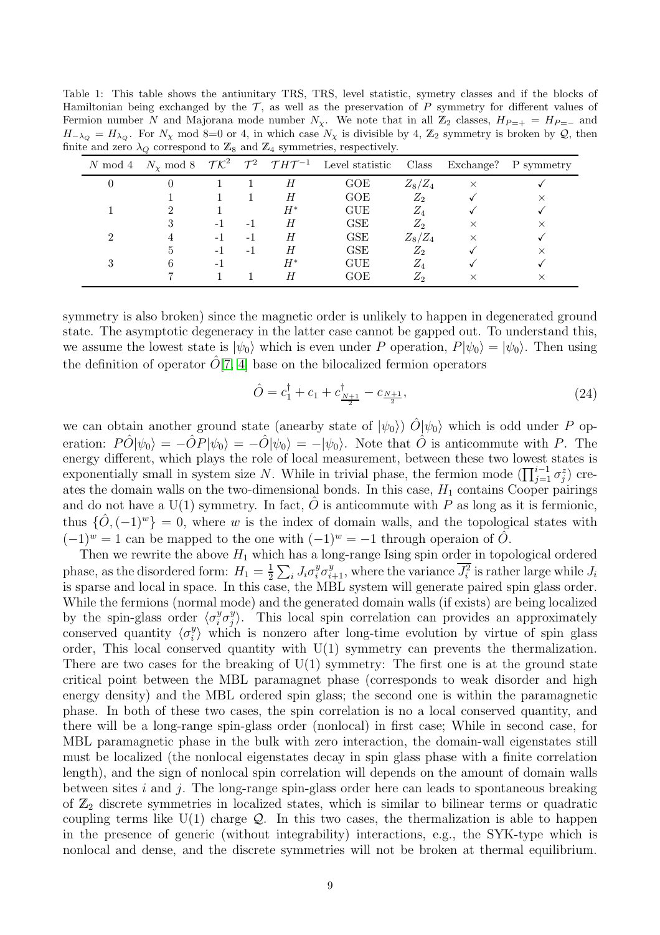Table 1: This table shows the antiunitary TRS, TRS, level statistic, symetry classes and if the blocks of Hamiltonian being exchanged by the  $\mathcal{T}$ , as well as the preservation of P symmetry for different values of Fermion number N and Majorana mode number  $N_{\chi}$ . We note that in all  $\mathbb{Z}_2$  classes,  $H_{P=+} = H_{P=-}$  and  $H_{-\lambda_Q} = H_{\lambda_Q}$ . For  $N_\chi$  mod 8=0 or 4, in which case  $N_\chi$  is divisible by 4,  $\mathbb{Z}_2$  symmetry is broken by Q, then finite and zero  $\lambda_Q$  correspond to  $\mathbb{Z}_8$  and  $\mathbb{Z}_4$  symmetries, respectively.

|  |      |     |       | N mod 4 $N_{\chi}$ mod 8 $\mathcal{T}\mathcal{K}^2$ $\mathcal{T}^2$ $\mathcal{T}H\mathcal{T}^{-1}$ Level statistic Class Exchange? P symmetry |               |   |  |
|--|------|-----|-------|-----------------------------------------------------------------------------------------------------------------------------------------------|---------------|---|--|
|  |      |     | Н     | <b>GOE</b>                                                                                                                                    | $Z_8/Z_4$     | × |  |
|  |      |     | Η     | GOE                                                                                                                                           | $Z_{2}$       |   |  |
|  |      |     | $H^*$ | GUE                                                                                                                                           | $Z_4$         |   |  |
|  | $-1$ | - 1 | Н     | <b>GSE</b>                                                                                                                                    | $Z_2$         |   |  |
|  |      | - 1 | Η     | GSE                                                                                                                                           | $Z_8/Z_4$     |   |  |
|  |      | - 1 | Η     | GSE                                                                                                                                           | $Z_2$         |   |  |
|  |      |     | $H^*$ | <b>GUE</b>                                                                                                                                    | $\mathrm Z_4$ |   |  |
|  |      |     |       | GOE                                                                                                                                           | $\sim$        |   |  |

symmetry is also broken) since the magnetic order is unlikely to happen in degenerated ground state. The asymptotic degeneracy in the latter case cannot be gapped out. To understand this, we assume the lowest state is  $|\psi_0\rangle$  which is even under P operation,  $P|\psi_0\rangle = |\psi_0\rangle$ . Then using the definition of operator  $\hat{O}[7, 4]$  base on the bilocalized fermion operators

$$
\hat{O} = c_1^{\dagger} + c_1 + c_{\frac{N+1}{2}}^{\dagger} - c_{\frac{N+1}{2}},\tag{24}
$$

we can obtain another ground state (anearby state of  $|\psi_0\rangle$ )  $\hat{O}|\psi_0\rangle$  which is odd under P operation:  $P\hat{O}|\psi_0\rangle = -\hat{O}P|\psi_0\rangle = -\hat{O}|\psi_0\rangle = -|\psi_0\rangle$ . Note that  $\hat{O}$  is anticommute with P. The energy different, which plays the role of local measurement, between these two lowest states is exponentially small in system size N. While in trivial phase, the fermion mode  $(\prod_{j=1}^{i-1} \sigma_j^z)$  creates the domain walls on the two-dimensional bonds. In this case,  $H_1$  contains Cooper pairings and do not have a  $U(1)$  symmetry. In fact,  $\hat{O}$  is anticommute with P as long as it is fermionic, thus  $\{\hat{O}, (-1)^w\} = 0$ , where w is the index of domain walls, and the topological states with  $(-1)^w = 1$  can be mapped to the one with  $(-1)^w = -1$  through operaion of  $\hat{O}$ .

Then we rewrite the above  $H_1$  which has a long-range Ising spin order in topological ordered phase, as the disordered form:  $H_1 = \frac{1}{2}$  $\frac{1}{2} \sum_i J_i \sigma_i^y \sigma_{i+1}^y$ , where the variance  $\overline{J_i^2}$  is rather large while  $J_i$ is sparse and local in space. In this case, the MBL system will generate paired spin glass order. While the fermions (normal mode) and the generated domain walls (if exists) are being localized by the spin-glass order  $\langle \sigma_i^y \sigma_j^y \rangle$  $\binom{y}{j}$ . This local spin correlation can provides an approximately conserved quantity  $\langle \sigma_i^y \rangle$  $\binom{y}{i}$  which is nonzero after long-time evolution by virtue of spin glass order, This local conserved quantity with U(1) symmetry can prevents the thermalization. There are two cases for the breaking of  $U(1)$  symmetry: The first one is at the ground state critical point between the MBL paramagnet phase (corresponds to weak disorder and high energy density) and the MBL ordered spin glass; the second one is within the paramagnetic phase. In both of these two cases, the spin correlation is no a local conserved quantity, and there will be a long-range spin-glass order (nonlocal) in first case; While in second case, for MBL paramagnetic phase in the bulk with zero interaction, the domain-wall eigenstates still must be localized (the nonlocal eigenstates decay in spin glass phase with a finite correlation length), and the sign of nonlocal spin correlation will depends on the amount of domain walls between sites i and j. The long-range spin-glass order here can leads to spontaneous breaking of  $\mathbb{Z}_2$  discrete symmetries in localized states, which is similar to bilinear terms or quadratic coupling terms like  $U(1)$  charge  $\mathcal{Q}$ . In this two cases, the thermalization is able to happen in the presence of generic (without integrability) interactions, e.g., the SYK-type which is nonlocal and dense, and the discrete symmetries will not be broken at thermal equilibrium.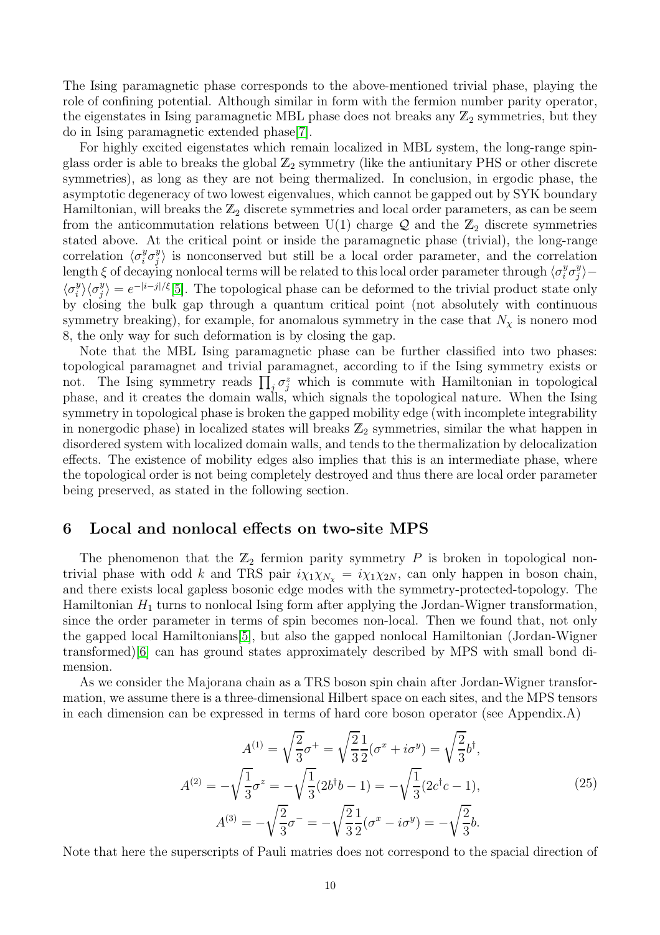The Ising paramagnetic phase corresponds to the above-mentioned trivial phase, playing the role of confining potential. Although similar in form with the fermion number parity operator, the eigenstates in Ising paramagnetic MBL phase does not breaks any  $\mathbb{Z}_2$  symmetries, but they do in Ising paramagnetic extended phase[7].

For highly excited eigenstates which remain localized in MBL system, the long-range spinglass order is able to breaks the global  $\mathbb{Z}_2$  symmetry (like the antiunitary PHS or other discrete symmetries), as long as they are not being thermalized. In conclusion, in ergodic phase, the asymptotic degeneracy of two lowest eigenvalues, which cannot be gapped out by SYK boundary Hamiltonian, will breaks the  $\mathbb{Z}_2$  discrete symmetries and local order parameters, as can be seem from the anticommutation relations between  $U(1)$  charge Q and the  $\mathbb{Z}_2$  discrete symmetries stated above. At the critical point or inside the paramagnetic phase (trivial), the long-range correlation  $\langle \sigma_i^y \sigma_j^y \rangle$  $\binom{y}{j}$  is nonconserved but still be a local order parameter, and the correlation length  $\xi$  of decaying nonlocal terms will be related to this local order parameter through  $\langle \sigma_i^y \sigma_j^y \rangle$  $_j^{\circ}$ ) —  $\langle \sigma_i^y$  $\langle \sigma_j^y \rangle$  $\ket{\psi} = e^{-|i-j|/\xi}$ [5]. The topological phase can be deformed to the trivial product state only by closing the bulk gap through a quantum critical point (not absolutely with continuous symmetry breaking), for example, for anomalous symmetry in the case that  $N_{\chi}$  is nonero mod 8, the only way for such deformation is by closing the gap.

Note that the MBL Ising paramagnetic phase can be further classified into two phases: topological paramagnet and trivial paramagnet, according to if the Ising symmetry exists or not. The Ising symmetry reads  $\prod_j \sigma_j^z$  which is commute with Hamiltonian in topological phase, and it creates the domain walls, which signals the topological nature. When the Ising symmetry in topological phase is broken the gapped mobility edge (with incomplete integrability in nonergodic phase) in localized states will breaks  $\mathbb{Z}_2$  symmetries, similar the what happen in disordered system with localized domain walls, and tends to the thermalization by delocalization effects. The existence of mobility edges also implies that this is an intermediate phase, where the topological order is not being completely destroyed and thus there are local order parameter being preserved, as stated in the following section.

#### 6 Local and nonlocal effects on two-site MPS

The phenomenon that the  $\mathbb{Z}_2$  fermion parity symmetry P is broken in topological nontrivial phase with odd k and TRS pair  $i\chi_1\chi_{N_\chi} = i\chi_1\chi_{2N}$ , can only happen in boson chain, and there exists local gapless bosonic edge modes with the symmetry-protected-topology. The Hamiltonian  $H_1$  turns to nonlocal Ising form after applying the Jordan-Wigner transformation, since the order parameter in terms of spin becomes non-local. Then we found that, not only the gapped local Hamiltonians[5], but also the gapped nonlocal Hamiltonian (Jordan-Wigner transformed)[6] can has ground states approximately described by MPS with small bond dimension.

As we consider the Majorana chain as a TRS boson spin chain after Jordan-Wigner transformation, we assume there is a three-dimensional Hilbert space on each sites, and the MPS tensors in each dimension can be expressed in terms of hard core boson operator (see Appendix.A)

$$
A^{(1)} = \sqrt{\frac{2}{3}}\sigma^{+} = \sqrt{\frac{2}{3}}\frac{1}{2}(\sigma^{x} + i\sigma^{y}) = \sqrt{\frac{2}{3}}b^{\dagger},
$$
  
\n
$$
A^{(2)} = -\sqrt{\frac{1}{3}}\sigma^{z} = -\sqrt{\frac{1}{3}}(2b^{\dagger}b - 1) = -\sqrt{\frac{1}{3}}(2c^{\dagger}c - 1),
$$
  
\n
$$
A^{(3)} = -\sqrt{\frac{2}{3}}\sigma^{-} = -\sqrt{\frac{2}{3}}\frac{1}{2}(\sigma^{x} - i\sigma^{y}) = -\sqrt{\frac{2}{3}}b.
$$
\n(25)

Note that here the superscripts of Pauli matries does not correspond to the spacial direction of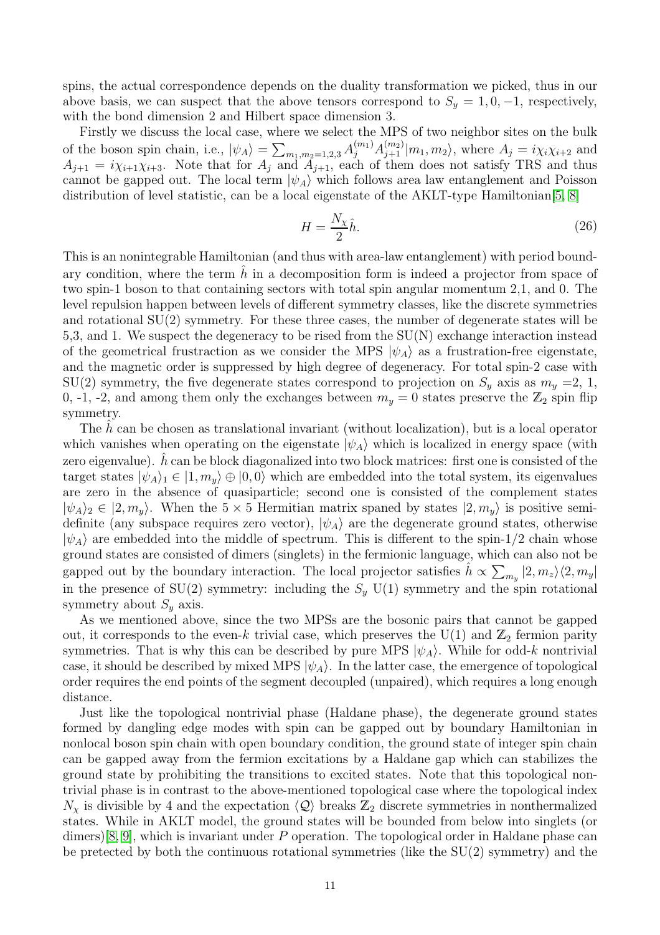spins, the actual correspondence depends on the duality transformation we picked, thus in our above basis, we can suspect that the above tensors correspond to  $S_y = 1, 0, -1$ , respectively, with the bond dimension 2 and Hilbert space dimension 3.

Firstly we discuss the local case, where we select the MPS of two neighbor sites on the bulk of the boson spin chain, i.e.,  $|\psi_A\rangle = \sum_{m_1,m_2=1,2,3} A_j^{(m_1)} A_{j+1}^{(m_2)} |m_1,m_2\rangle$ , where  $A_j = i \chi_i \chi_{i+2}$  and  $A_{j+1} = i\chi_{i+1}\chi_{i+3}$ . Note that for  $A_j$  and  $A_{j+1}$ , each of them does not satisfy TRS and thus cannot be gapped out. The local term  $|\psi_A\rangle$  which follows area law entanglement and Poisson distribution of level statistic, can be a local eigenstate of the AKLT-type Hamiltonian [5, 8]

$$
H = \frac{N_{\chi}}{2} \hat{h}.\tag{26}
$$

This is an nonintegrable Hamiltonian (and thus with area-law entanglement) with period boundary condition, where the term  $\hat{h}$  in a decomposition form is indeed a projector from space of two spin-1 boson to that containing sectors with total spin angular momentum 2,1, and 0. The level repulsion happen between levels of different symmetry classes, like the discrete symmetries and rotational SU(2) symmetry. For these three cases, the number of degenerate states will be 5,3, and 1. We suspect the degeneracy to be rised from the SU(N) exchange interaction instead of the geometrical frustraction as we consider the MPS  $|\psi_A\rangle$  as a frustration-free eigenstate, and the magnetic order is suppressed by high degree of degeneracy. For total spin-2 case with  $SU(2)$  symmetry, the five degenerate states correspond to projection on  $S_y$  axis as  $m_y = 2, 1$ , 0, -1, -2, and among them only the exchanges between  $m_y = 0$  states preserve the  $\mathbb{Z}_2$  spin flip symmetry.

The  $h$  can be chosen as translational invariant (without localization), but is a local operator which vanishes when operating on the eigenstate  $|\psi_A\rangle$  which is localized in energy space (with zero eigenvalue).  $\hat{h}$  can be block diagonalized into two block matrices: first one is consisted of the target states  $|\psi_A\rangle_1 \in |1, m_y\rangle \oplus |0, 0\rangle$  which are embedded into the total system, its eigenvalues are zero in the absence of quasiparticle; second one is consisted of the complement states  $|\psi_A\rangle_2 \in (2, m_y)$ . When the 5 × 5 Hermitian matrix spaned by states  $|2, m_y\rangle$  is positive semidefinite (any subspace requires zero vector),  $|\psi_A\rangle$  are the degenerate ground states, otherwise  $|\psi_A\rangle$  are embedded into the middle of spectrum. This is different to the spin-1/2 chain whose ground states are consisted of dimers (singlets) in the fermionic language, which can also not be gapped out by the boundary interaction. The local projector satisfies  $\hat{h} \propto \sum_{m_y} |2, m_z\rangle\langle2, m_y|$ in the presence of SU(2) symmetry: including the  $S_y$  U(1) symmetry and the spin rotational symmetry about  $S_y$  axis.

As we mentioned above, since the two MPSs are the bosonic pairs that cannot be gapped out, it corresponds to the even-k trivial case, which preserves the U(1) and  $\mathbb{Z}_2$  fermion parity symmetries. That is why this can be described by pure MPS  $|\psi_A\rangle$ . While for odd-k nontrivial case, it should be described by mixed MPS  $|\psi_A\rangle$ . In the latter case, the emergence of topological order requires the end points of the segment decoupled (unpaired), which requires a long enough distance.

Just like the topological nontrivial phase (Haldane phase), the degenerate ground states formed by dangling edge modes with spin can be gapped out by boundary Hamiltonian in nonlocal boson spin chain with open boundary condition, the ground state of integer spin chain can be gapped away from the fermion excitations by a Haldane gap which can stabilizes the ground state by prohibiting the transitions to excited states. Note that this topological nontrivial phase is in contrast to the above-mentioned topological case where the topological index  $N_{\chi}$  is divisible by 4 and the expectation  $\langle \mathcal{Q} \rangle$  breaks  $\mathbb{Z}_2$  discrete symmetries in nonthermalized states. While in AKLT model, the ground states will be bounded from below into singlets (or dimers)[8, 9], which is invariant under  $P$  operation. The topological order in Haldane phase can be pretected by both the continuous rotational symmetries (like the SU(2) symmetry) and the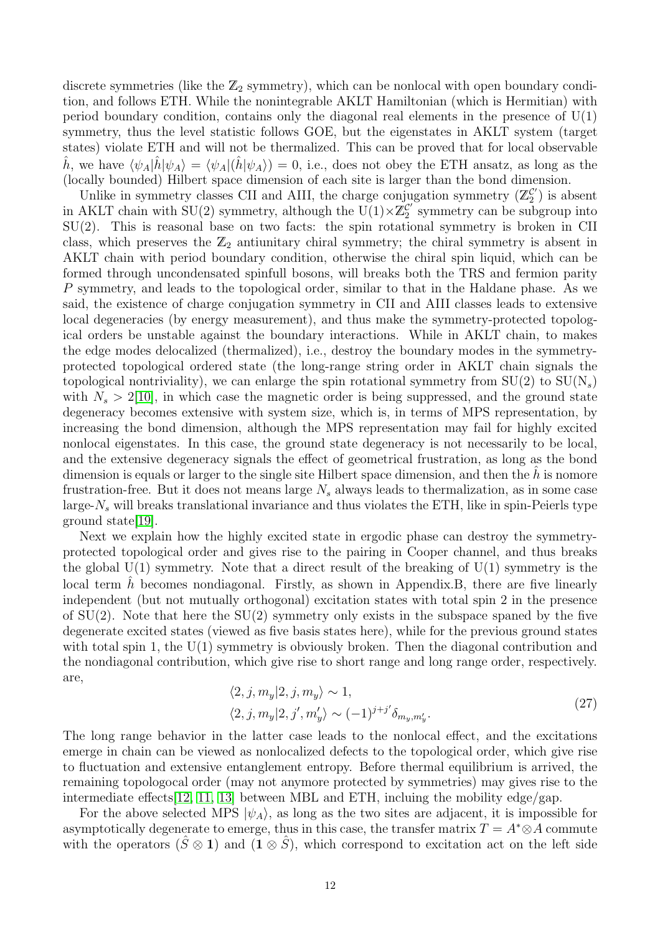discrete symmetries (like the  $\mathbb{Z}_2$  symmetry), which can be nonlocal with open boundary condition, and follows ETH. While the nonintegrable AKLT Hamiltonian (which is Hermitian) with period boundary condition, contains only the diagonal real elements in the presence of  $U(1)$ symmetry, thus the level statistic follows GOE, but the eigenstates in AKLT system (target states) violate ETH and will not be thermalized. This can be proved that for local observable h, we have  $\langle \psi_A | h | \psi_A \rangle = \langle \psi_A | (h | \psi_A \rangle) = 0$ , i.e., does not obey the ETH ansatz, as long as the (locally bounded) Hilbert space dimension of each site is larger than the bond dimension.

Unlike in symmetry classes CII and AIII, the charge conjugation symmetry  $(\mathbb{Z}_2^{\mathcal{C}})'$  $_2^{\mathcal{C}'}$ ) is absent in AKLT chain with  $SU(2)$  symmetry, although the  $U(1)\times \mathbb{Z}_2^{\mathcal{C}}$  $_2^C$  symmetry can be subgroup into  $SU(2)$ . This is reasonal base on two facts: the spin rotational symmetry is broken in CII class, which preserves the  $\mathbb{Z}_2$  antiunitary chiral symmetry; the chiral symmetry is absent in AKLT chain with period boundary condition, otherwise the chiral spin liquid, which can be formed through uncondensated spinfull bosons, will breaks both the TRS and fermion parity P symmetry, and leads to the topological order, similar to that in the Haldane phase. As we said, the existence of charge conjugation symmetry in CII and AIII classes leads to extensive local degeneracies (by energy measurement), and thus make the symmetry-protected topological orders be unstable against the boundary interactions. While in AKLT chain, to makes the edge modes delocalized (thermalized), i.e., destroy the boundary modes in the symmetryprotected topological ordered state (the long-range string order in AKLT chain signals the topological nontriviality), we can enlarge the spin rotational symmetry from  $SU(2)$  to  $SU(N<sub>s</sub>)$ with  $N_s > 2[10]$ , in which case the magnetic order is being suppressed, and the ground state degeneracy becomes extensive with system size, which is, in terms of MPS representation, by increasing the bond dimension, although the MPS representation may fail for highly excited nonlocal eigenstates. In this case, the ground state degeneracy is not necessarily to be local, and the extensive degeneracy signals the effect of geometrical frustration, as long as the bond dimension is equals or larger to the single site Hilbert space dimension, and then the  $h$  is nomore frustration-free. But it does not means large  $N_s$  always leads to thermalization, as in some case large- $N<sub>s</sub>$  will breaks translational invariance and thus violates the ETH, like in spin-Peierls type ground state[19].

Next we explain how the highly excited state in ergodic phase can destroy the symmetryprotected topological order and gives rise to the pairing in Cooper channel, and thus breaks the global  $U(1)$  symmetry. Note that a direct result of the breaking of  $U(1)$  symmetry is the local term  $\hat{h}$  becomes nondiagonal. Firstly, as shown in Appendix.B, there are five linearly independent (but not mutually orthogonal) excitation states with total spin 2 in the presence of  $SU(2)$ . Note that here the  $SU(2)$  symmetry only exists in the subspace spaned by the five degenerate excited states (viewed as five basis states here), while for the previous ground states with total spin 1, the U(1) symmetry is obviously broken. Then the diagonal contribution and the nondiagonal contribution, which give rise to short range and long range order, respectively. are,

$$
\langle 2, j, m_y | 2, j, m_y \rangle \sim 1,
$$
  

$$
\langle 2, j, m_y | 2, j', m_y' \rangle \sim (-1)^{j+j'} \delta_{m_y, m_y'}.
$$
 (27)

The long range behavior in the latter case leads to the nonlocal effect, and the excitations emerge in chain can be viewed as nonlocalized defects to the topological order, which give rise to fluctuation and extensive entanglement entropy. Before thermal equilibrium is arrived, the remaining topologocal order (may not anymore protected by symmetries) may gives rise to the intermediate effects[12, 11, 13] between MBL and ETH, incluing the mobility edge/gap.

For the above selected MPS  $|\psi_A\rangle$ , as long as the two sites are adjacent, it is impossible for asymptotically degenerate to emerge, thus in this case, the transfer matrix  $T = A^* \otimes A$  commute with the operators  $(S \otimes 1)$  and  $(1 \otimes S)$ , which correspond to excitation act on the left side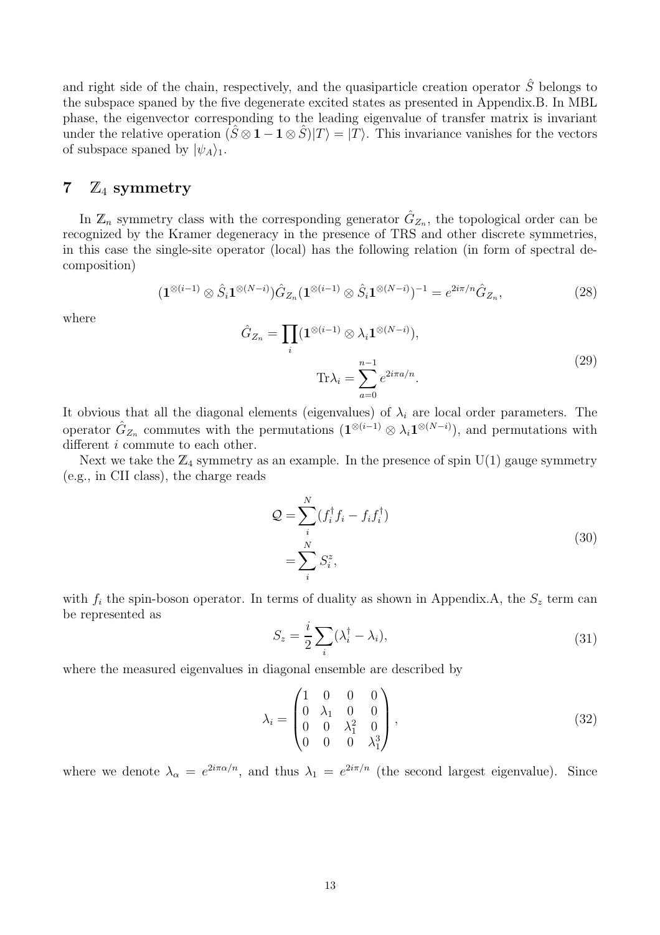and right side of the chain, respectively, and the quasiparticle creation operator  $\hat{S}$  belongs to the subspace spaned by the five degenerate excited states as presented in Appendix.B. In MBL phase, the eigenvector corresponding to the leading eigenvalue of transfer matrix is invariant under the relative operation  $(\hat{S} \otimes \mathbf{1} - \mathbf{1} \otimes \hat{S})|T\rangle = |T\rangle$ . This invariance vanishes for the vectors of subspace spaned by  $|\psi_A\rangle_1$ .

## 7  $\mathbb{Z}_4$  symmetry

In  $\mathbb{Z}_n$  symmetry class with the corresponding generator  $\hat{G}_{Z_n}$ , the topological order can be recognized by the Kramer degeneracy in the presence of TRS and other discrete symmetries, in this case the single-site operator (local) has the following relation (in form of spectral decomposition)

$$
(\mathbf{1}^{\otimes(i-1)}\otimes \hat{S}_i \mathbf{1}^{\otimes(N-i)})\hat{G}_{Z_n}(\mathbf{1}^{\otimes(i-1)}\otimes \hat{S}_i \mathbf{1}^{\otimes(N-i)})^{-1} = e^{2i\pi/n}\hat{G}_{Z_n},\tag{28}
$$

where

$$
\hat{G}_{Z_n} = \prod_i (\mathbf{1}^{\otimes (i-1)} \otimes \lambda_i \mathbf{1}^{\otimes (N-i)}),
$$
  

$$
\text{Tr}\lambda_i = \sum_{a=0}^{n-1} e^{2i\pi a/n}.
$$
 (29)

It obvious that all the diagonal elements (eigenvalues) of  $\lambda_i$  are local order parameters. The operator  $\hat{G}_{Z_n}$  commutes with the permutations  $(1^{\otimes (i-1)} \otimes \lambda_i 1^{\otimes (N-i)})$ , and permutations with different  $i$  commute to each other.

Next we take the  $\mathbb{Z}_4$  symmetry as an example. In the presence of spin U(1) gauge symmetry (e.g., in CII class), the charge reads

$$
\mathcal{Q} = \sum_{i}^{N} (f_i^{\dagger} f_i - f_i f_i^{\dagger})
$$
  
= 
$$
\sum_{i}^{N} S_i^z,
$$
 (30)

with  $f_i$  the spin-boson operator. In terms of duality as shown in Appendix.A, the  $S_z$  term can be represented as

$$
S_z = \frac{i}{2} \sum_i (\lambda_i^\dagger - \lambda_i),\tag{31}
$$

where the measured eigenvalues in diagonal ensemble are described by

$$
\lambda_i = \begin{pmatrix} 1 & 0 & 0 & 0 \\ 0 & \lambda_1 & 0 & 0 \\ 0 & 0 & \lambda_1^2 & 0 \\ 0 & 0 & 0 & \lambda_1^3 \end{pmatrix},
$$
\n(32)

where we denote  $\lambda_{\alpha} = e^{2i\pi\alpha/n}$ , and thus  $\lambda_1 = e^{2i\pi/n}$  (the second largest eigenvalue). Since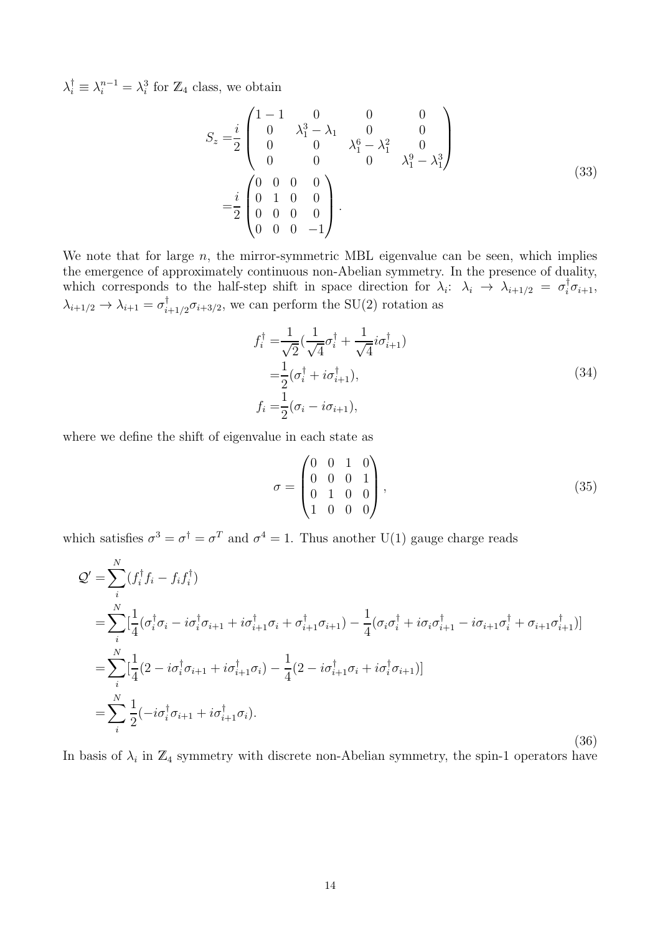$\lambda_i^{\dagger} \equiv \lambda_i^{n-1} = \lambda_i^3$  for  $\mathbb{Z}_4$  class, we obtain

$$
S_z = \frac{i}{2} \begin{pmatrix} 1 & -1 & 0 & 0 & 0 \\ 0 & \lambda_1^3 - \lambda_1 & 0 & 0 \\ 0 & 0 & \lambda_1^6 - \lambda_1^2 & 0 \\ 0 & 0 & 0 & \lambda_1^9 - \lambda_1^3 \end{pmatrix}
$$
  
=  $\frac{i}{2} \begin{pmatrix} 0 & 0 & 0 & 0 \\ 0 & 1 & 0 & 0 \\ 0 & 0 & 0 & 0 \\ 0 & 0 & 0 & -1 \end{pmatrix}$ . (33)

We note that for large  $n$ , the mirror-symmetric MBL eigenvalue can be seen, which implies the emergence of approximately continuous non-Abelian symmetry. In the presence of duality, which corresponds to the half-step shift in space direction for  $\lambda_i$ :  $\lambda_i \to \lambda_{i+1/2} = \sigma_i^{\dagger} \sigma_{i+1}$ ,  $\lambda_{i+1/2} \to \lambda_{i+1} = \sigma_{i+1/2}^{\mathsf{T}} \sigma_{i+3/2}$ , we can perform the SU(2) rotation as

$$
f_i^{\dagger} = \frac{1}{\sqrt{2}} (\frac{1}{\sqrt{4}} \sigma_i^{\dagger} + \frac{1}{\sqrt{4}} i \sigma_{i+1}^{\dagger})
$$
  
=  $\frac{1}{2} (\sigma_i^{\dagger} + i \sigma_{i+1}^{\dagger}),$   

$$
f_i = \frac{1}{2} (\sigma_i - i \sigma_{i+1}),
$$
 (34)

where we define the shift of eigenvalue in each state as

$$
\sigma = \begin{pmatrix} 0 & 0 & 1 & 0 \\ 0 & 0 & 0 & 1 \\ 0 & 1 & 0 & 0 \\ 1 & 0 & 0 & 0 \end{pmatrix},
$$
\n(35)

which satisfies  $\sigma^3 = \sigma^{\dagger} = \sigma^T$  and  $\sigma^4 = 1$ . Thus another U(1) gauge charge reads

$$
Q' = \sum_{i}^{N} (f_i^{\dagger} f_i - f_i f_i^{\dagger})
$$
  
\n
$$
= \sum_{i}^{N} [\frac{1}{4} (\sigma_i^{\dagger} \sigma_i - i \sigma_i^{\dagger} \sigma_{i+1} + i \sigma_{i+1}^{\dagger} \sigma_i + \sigma_{i+1}^{\dagger} \sigma_{i+1}) - \frac{1}{4} (\sigma_i \sigma_i^{\dagger} + i \sigma_i \sigma_{i+1}^{\dagger} - i \sigma_{i+1} \sigma_i^{\dagger} + \sigma_{i+1} \sigma_{i+1}^{\dagger})]
$$
  
\n
$$
= \sum_{i}^{N} [\frac{1}{4} (2 - i \sigma_i^{\dagger} \sigma_{i+1} + i \sigma_{i+1}^{\dagger} \sigma_i) - \frac{1}{4} (2 - i \sigma_{i+1}^{\dagger} \sigma_i + i \sigma_i^{\dagger} \sigma_{i+1})]
$$
  
\n
$$
= \sum_{i}^{N} \frac{1}{2} (-i \sigma_i^{\dagger} \sigma_{i+1} + i \sigma_{i+1}^{\dagger} \sigma_i).
$$
\n(36)

In basis of  $\lambda_i$  in  $\mathbb{Z}_4$  symmetry with discrete non-Abelian symmetry, the spin-1 operators have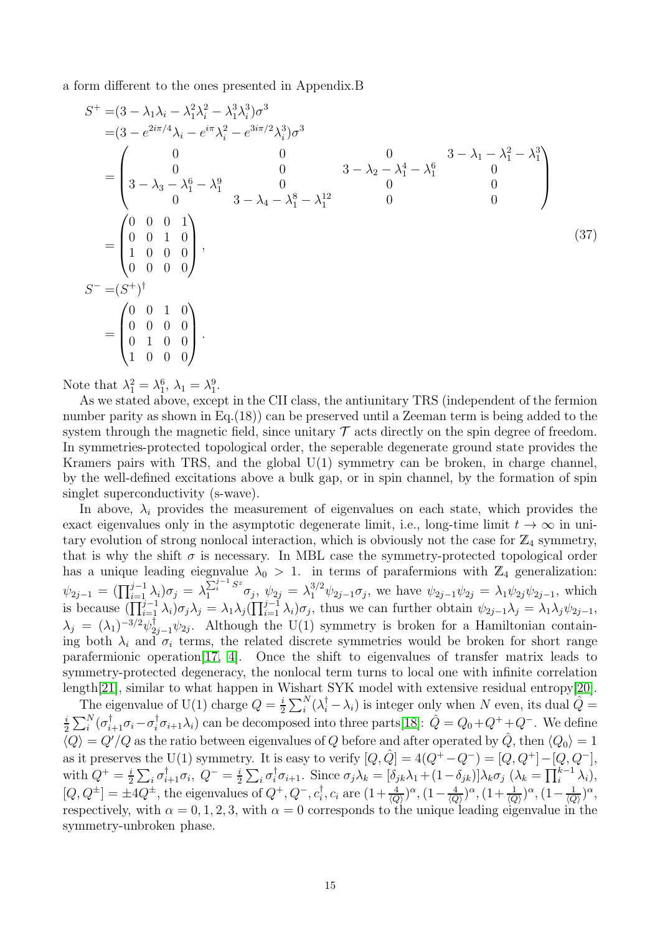a form different to the ones presented in Appendix.B

$$
S^{+} = (3 - \lambda_{1}\lambda_{i} - \lambda_{1}^{2}\lambda_{i}^{2} - \lambda_{1}^{3}\lambda_{i}^{3})\sigma^{3}
$$
  
\n
$$
= (3 - e^{2i\pi/4}\lambda_{i} - e^{i\pi}\lambda_{i}^{2} - e^{3i\pi/2}\lambda_{i}^{3})\sigma^{3}
$$
  
\n
$$
= \begin{pmatrix}\n0 & 0 & 0 & 3 - \lambda_{2} - \lambda_{1}^{4} - \lambda_{1}^{6} & 0 \\
0 & 0 & 3 - \lambda_{2} - \lambda_{1}^{4} - \lambda_{1}^{6} & 0 \\
3 - \lambda_{3} - \lambda_{1}^{6} - \lambda_{1}^{9} & 0 & 0 & 0 \\
0 & 3 - \lambda_{4} - \lambda_{1}^{8} - \lambda_{1}^{12} & 0 & 0\n\end{pmatrix}
$$
  
\n
$$
= \begin{pmatrix}\n0 & 0 & 0 & 1 \\
0 & 0 & 1 & 0 \\
1 & 0 & 0 & 0 \\
1 & 0 & 0 & 0\n\end{pmatrix},
$$
  
\n
$$
S^{-} = (S^{+})^{\dagger}
$$
  
\n
$$
= \begin{pmatrix}\n0 & 0 & 1 & 0 \\
0 & 0 & 0 & 0 \\
0 & 1 & 0 & 0 \\
1 & 0 & 0 & 0\n\end{pmatrix}.
$$
  
\n(37)

Note that  $\lambda_1^2 = \lambda_1^6$ ,  $\lambda_1 = \lambda_1^9$ .

As we stated above, except in the CII class, the antiunitary TRS (independent of the fermion number parity as shown in Eq.(18)) can be preserved until a Zeeman term is being added to the system through the magnetic field, since unitary  $\mathcal T$  acts directly on the spin degree of freedom. In symmetries-protected topological order, the seperable degenerate ground state provides the Kramers pairs with TRS, and the global U(1) symmetry can be broken, in charge channel, by the well-defined excitations above a bulk gap, or in spin channel, by the formation of spin singlet superconductivity (s-wave).

In above,  $\lambda_i$  provides the measurement of eigenvalues on each state, which provides the exact eigenvalues only in the asymptotic degenerate limit, i.e., long-time limit  $t \to \infty$  in unitary evolution of strong nonlocal interaction, which is obviously not the case for  $\mathbb{Z}_4$  symmetry, that is why the shift  $\sigma$  is necessary. In MBL case the symmetry-protected topological order has a unique leading eiegnvalue  $\lambda_0 > 1$ . in terms of parafermions with  $\mathbb{Z}_4$  generalization:  $\psi_{2j-1} = (\prod_{i=1}^{j-1} \lambda_i) \sigma_j = \lambda_1^{\sum_{i=1}^{j-1} S^z} \sigma_j, \ \psi_{2j} = \lambda_1^{3/2} \psi_{2j-1} \sigma_j$ , we have  $\psi_{2j-1} \psi_{2j} = \lambda_1 \psi_{2j} \psi_{2j-1}$ , which is because  $(\prod_{i=1}^{j-1} \lambda_i) \sigma_j \lambda_j = \lambda_1 \lambda_j (\prod_{i=1}^{j-1} \lambda_i) \sigma_j$ , thus we can further obtain  $\psi_{2j-1} \lambda_j = \lambda_1 \lambda_j \psi_{2j-1}$ ,  $\lambda_j = (\lambda_1)^{-3/2} \psi_{2j-1}^{\dagger} \psi_{2j}$ . Although the U(1) symmetry is broken for a Hamiltonian containing both  $\lambda_i$  and  $\sigma_i$  terms, the related discrete symmetries would be broken for short range parafermionic operation[17, 4]. Once the shift to eigenvalues of transfer matrix leads to symmetry-protected degeneracy, the nonlocal term turns to local one with infinite correlation length[21], similar to what happen in Wishart SYK model with extensive residual entropy[20].

The eigenvalue of U(1) charge  $Q = \frac{i}{2}$  $\frac{i}{2} \sum_{i}^{N} (\lambda_i^{\dagger} - \lambda_i)$  is integer only when N even, its dual  $\hat{Q} =$ i  $\frac{i}{2} \sum_{i}^{N} (\sigma_{i+1}^{\dagger} \sigma_i - \sigma_i^{\dagger} \sigma_{i+1} \lambda_i)$  can be decomposed into three parts[18]:  $\hat{Q} = Q_0 + Q^+ + Q^-$ . We define  $\langle Q \rangle = Q'/Q$  as the ratio between eigenvalues of Q before and after operated by  $\hat{Q}$ , then  $\langle Q_0 \rangle = 1$ as it preserves the U(1) symmetry. It is easy to verify  $[Q, \hat{Q}] = 4(Q^+ - Q^-) = [Q, Q^+] - [Q, Q^-]$ , with  $Q^+ = \frac{i}{2}$  $\frac{i}{2}\sum_i \sigma^\dagger_{i+1}\sigma_i, \; Q^- = \frac{i}{2}$  $\frac{i}{2} \sum_i \sigma_i^{\dagger} \sigma_{i+1}$ . Since  $\sigma_j \lambda_k = [\delta_{jk} \lambda_1 + (1 - \delta_{jk})] \lambda_k \sigma_j \; (\lambda_k = \prod_{i=1}^{k-1} \lambda_i),$  $[Q, Q^{\pm}] = \pm 4Q^{\pm}$ , the eigenvalues of  $Q^+, Q^-, c_i^{\dagger}, c_i$  are  $(1 + \frac{4}{\langle Q \rangle})^{\alpha}, (1 - \frac{4}{\langle Q \rangle})^{\alpha}$  $\frac{4}{\langle Q \rangle})^{\alpha}$ ,  $(1+\frac{1}{\langle Q \rangle})^{\alpha}$ ,  $(1-\frac{1}{\langle Q \rangle})^{\alpha}$  $\frac{1}{\langle Q\rangle}$ <sup>o</sup>, respectively, with  $\alpha = 0, 1, 2, 3$ , with  $\alpha = 0$  corresponds to the unique leading eigenvalue in the symmetry-unbroken phase.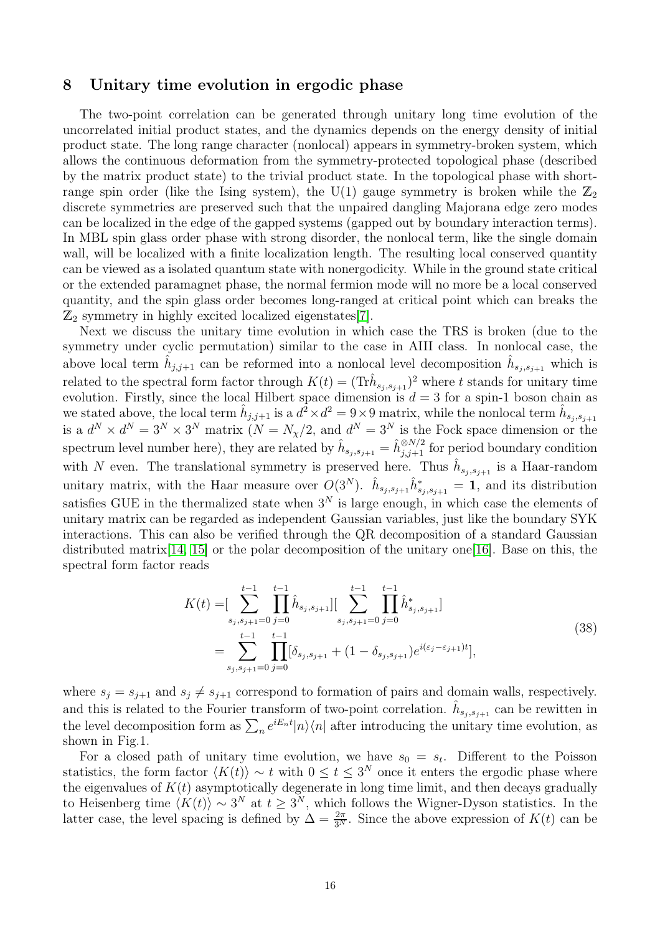## 8 Unitary time evolution in ergodic phase

The two-point correlation can be generated through unitary long time evolution of the uncorrelated initial product states, and the dynamics depends on the energy density of initial product state. The long range character (nonlocal) appears in symmetry-broken system, which allows the continuous deformation from the symmetry-protected topological phase (described by the matrix product state) to the trivial product state. In the topological phase with shortrange spin order (like the Ising system), the U(1) gauge symmetry is broken while the  $\mathbb{Z}_2$ discrete symmetries are preserved such that the unpaired dangling Majorana edge zero modes can be localized in the edge of the gapped systems (gapped out by boundary interaction terms). In MBL spin glass order phase with strong disorder, the nonlocal term, like the single domain wall, will be localized with a finite localization length. The resulting local conserved quantity can be viewed as a isolated quantum state with nonergodicity. While in the ground state critical or the extended paramagnet phase, the normal fermion mode will no more be a local conserved quantity, and the spin glass order becomes long-ranged at critical point which can breaks the  $\mathbb{Z}_2$  symmetry in highly excited localized eigenstates [7].

Next we discuss the unitary time evolution in which case the TRS is broken (due to the symmetry under cyclic permutation) similar to the case in AIII class. In nonlocal case, the above local term  $\hat{h}_{j,j+1}$  can be reformed into a nonlocal level decomposition  $\hat{h}_{s_j,s_{j+1}}$  which is related to the spectral form factor through  $K(t) = (\text{Tr}\hat{h}_{s_j,s_{j+1}})^2$  where t stands for unitary time evolution. Firstly, since the local Hilbert space dimension is  $d = 3$  for a spin-1 boson chain as we stated above, the local term  $\hat{h}_{j,j+1}$  is a  $d^2 \times d^2 = 9 \times 9$  matrix, while the nonlocal term  $\hat{h}_{s_j,s_{j+1}}$ is a  $d^N \times d^N = 3^N \times 3^N$  matrix  $(N = N_\chi/2)$ , and  $d^N = 3^N$  is the Fock space dimension or the spectrum level number here), they are related by  $\hat{h}_{s_j,s_{j+1}} = \hat{h}_{j,j+1}^{\otimes N/2}$  for period boundary condition with N even. The translational symmetry is preserved here. Thus  $\hat{h}_{s_j,s_{j+1}}$  is a Haar-random unitary matrix, with the Haar measure over  $O(3^N)$ .  $\hat{h}_{s_j,s_{j+1}}\hat{h}_{s_j,s_{j+1}}^* = 1$ , and its distribution satisfies GUE in the thermalized state when  $3<sup>N</sup>$  is large enough, in which case the elements of unitary matrix can be regarded as independent Gaussian variables, just like the boundary SYK interactions. This can also be verified through the QR decomposition of a standard Gaussian distributed matrix [14, 15] or the polar decomposition of the unitary one [16]. Base on this, the spectral form factor reads

$$
K(t) = \left[\sum_{s_j, s_{j+1}=0}^{t-1} \prod_{j=0}^{t-1} \hat{h}_{s_j, s_{j+1}}\right] \left[\sum_{s_j, s_{j+1}=0}^{t-1} \prod_{j=0}^{t-1} \hat{h}_{s_j, s_{j+1}}^*\right]
$$
  
= 
$$
\sum_{s_j, s_{j+1}=0}^{t-1} \prod_{j=0}^{t-1} [\delta_{s_j, s_{j+1}} + (1 - \delta_{s_j, s_{j+1}}) e^{i(\varepsilon_j - \varepsilon_{j+1})t}],
$$
\n(38)

where  $s_j = s_{j+1}$  and  $s_j \neq s_{j+1}$  correspond to formation of pairs and domain walls, respectively. and this is related to the Fourier transform of two-point correlation.  $\hat{h}_{s_j,s_{j+1}}$  can be rewitten in the level decomposition form as  $\sum_n e^{iE_nt}|n\rangle\langle n|$  after introducing the unitary time evolution, as shown in Fig.1.

For a closed path of unitary time evolution, we have  $s_0 = s_t$ . Different to the Poisson statistics, the form factor  $\langle K(t) \rangle \sim t$  with  $0 \le t \le 3^N$  once it enters the ergodic phase where the eigenvalues of  $K(t)$  asymptotically degenerate in long time limit, and then decays gradually to Heisenberg time  $\langle K(t) \rangle \sim 3^N$  at  $t \geq 3^N$ , which follows the Wigner-Dyson statistics. In the latter case, the level spacing is defined by  $\Delta = \frac{2\pi}{3}$ . Since the above expression of  $K(t)$  can be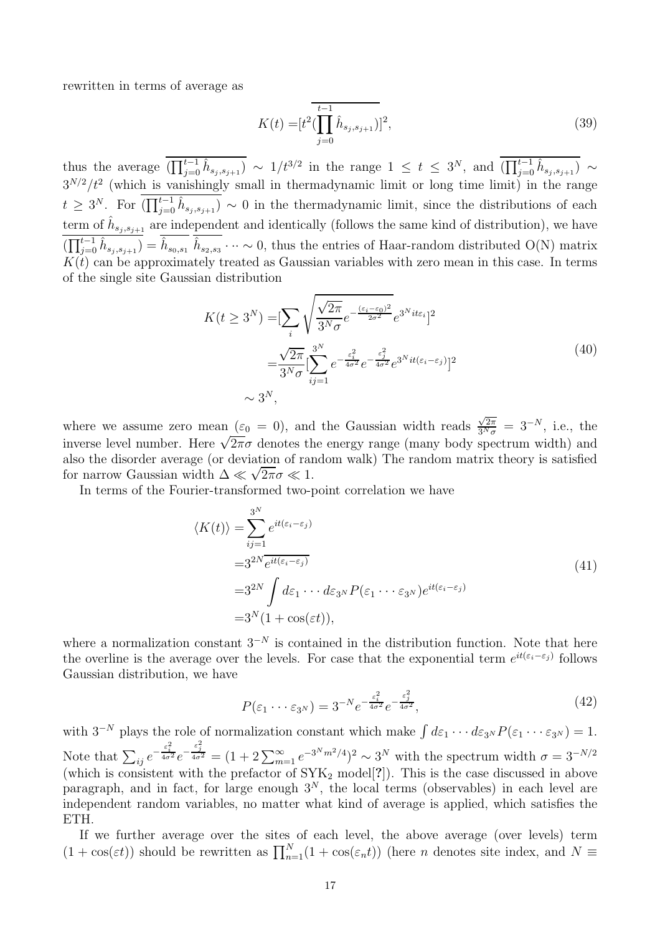rewritten in terms of average as

$$
K(t) = [t^2 (\prod_{j=0}^{t-1} \hat{h}_{s_j, s_{j+1}})]^2,
$$
\n(39)

thus the average  $(\prod_{j=0}^{t-1} \hat{h}_{s_j,s_{j+1}}) \sim 1/t^{3/2}$  in the range  $1 \leq t \leq 3^N$ , and  $(\prod_{j=0}^{t-1} \hat{h}_{s_j,s_{j+1}}) \sim$  $3^{N/2}/t^2$  (which is vanishingly small in thermadynamic limit or long time limit) in the range  $t \geq 3^N$ . For  $(\prod_{j=0}^{t-1} \hat{h}_{s_j,s_{j+1}}) \sim 0$  in the thermadynamic limit, since the distributions of each term of  $\hat{h}_{s_j,s_{j+1}}$  are independent and identically (follows the same kind of distribution), we have  $(\prod_{j=0}^{t-1} \hat{h}_{s_j,s_{j+1}}) = \hat{h}_{s_0,s_1} \hat{h}_{s_2,s_3} \cdots \sim 0$ , thus the entries of Haar-random distributed O(N) matrix  $K(t)$  can be approximately treated as Gaussian variables with zero mean in this case. In terms of the single site Gaussian distribution

$$
K(t \ge 3^N) = \left[\sum_{i} \sqrt{\frac{\sqrt{2\pi}}{3^N \sigma}} e^{-\frac{(\varepsilon_i - \varepsilon_0)^2}{2\sigma^2}} e^{3^N i t \varepsilon_i}\right]^2
$$

$$
= \frac{\sqrt{2\pi}}{3^N \sigma} \left[\sum_{ij=1}^{3^N} e^{-\frac{\varepsilon_i^2}{4\sigma^2}} e^{-\frac{\varepsilon_j^2}{4\sigma^2}} e^{3^N i t (\varepsilon_i - \varepsilon_j)}\right]^2
$$

$$
\sim 3^N,
$$
 (40)

where we assume zero mean  $(\varepsilon_0 = 0)$ , and the Gaussian width reads  $\frac{\sqrt{2\pi}}{3^N \sigma} = 3^{-N}$ , i.e., the inverse level number. Here  $\sqrt{2\pi}\sigma$  denotes the energy range (many body spectrum width) and also the disorder average (or deviation of random walk) The random matrix theory is satisfied for narrow Gaussian width  $\Delta \ll \sqrt{2\pi}\sigma \ll 1$ .

In terms of the Fourier-transformed two-point correlation we have

$$
\langle K(t) \rangle = \sum_{ij=1}^{3^N} e^{it(\varepsilon_i - \varepsilon_j)} \n= 3^{2N} \overline{e^{it(\varepsilon_i - \varepsilon_j)}} \n= 3^{2N} \int d\varepsilon_1 \cdots d\varepsilon_{3^N} P(\varepsilon_1 \cdots \varepsilon_{3^N}) e^{it(\varepsilon_i - \varepsilon_j)} \n= 3^N (1 + \cos(\varepsilon t)),
$$
\n(41)

where a normalization constant  $3^{-N}$  is contained in the distribution function. Note that here the overline is the average over the levels. For case that the exponential term  $e^{it(\varepsilon_i-\varepsilon_j)}$  follows Gaussian distribution, we have

$$
P(\varepsilon_1 \cdots \varepsilon_{3^N}) = 3^{-N} e^{-\frac{\varepsilon_i^2}{4\sigma^2}} e^{-\frac{\varepsilon_j^2}{4\sigma^2}}, \tag{42}
$$

with  $3^{-N}$  plays the role of normalization constant which make  $\int d\varepsilon_1 \cdots d\varepsilon_{3^N} P(\varepsilon_1 \cdots \varepsilon_{3^N}) = 1$ . Note that  $\sum_{ij} e^{-\frac{\varepsilon_i^2}{4\sigma^2}} e^{-\frac{\varepsilon_j^2}{4\sigma^2}} = (1+2\sum_{m=1}^{\infty} e^{-3^N m^2/4})^2 \sim 3^N$  with the spectrum width  $\sigma = 3^{-N/2}$ (which is consistent with the prefactor of  $SYK_2 \text{ model}[?]$ ). This is the case discussed in above paragraph, and in fact, for large enough  $3<sup>N</sup>$ , the local terms (observables) in each level are independent random variables, no matter what kind of average is applied, which satisfies the ETH.

If we further average over the sites of each level, the above average (over levels) term  $(1 + \cos(\varepsilon t))$  should be rewritten as  $\prod_{n=1}^{N} (1 + \cos(\varepsilon_n t))$  (here *n* denotes site index, and  $N \equiv$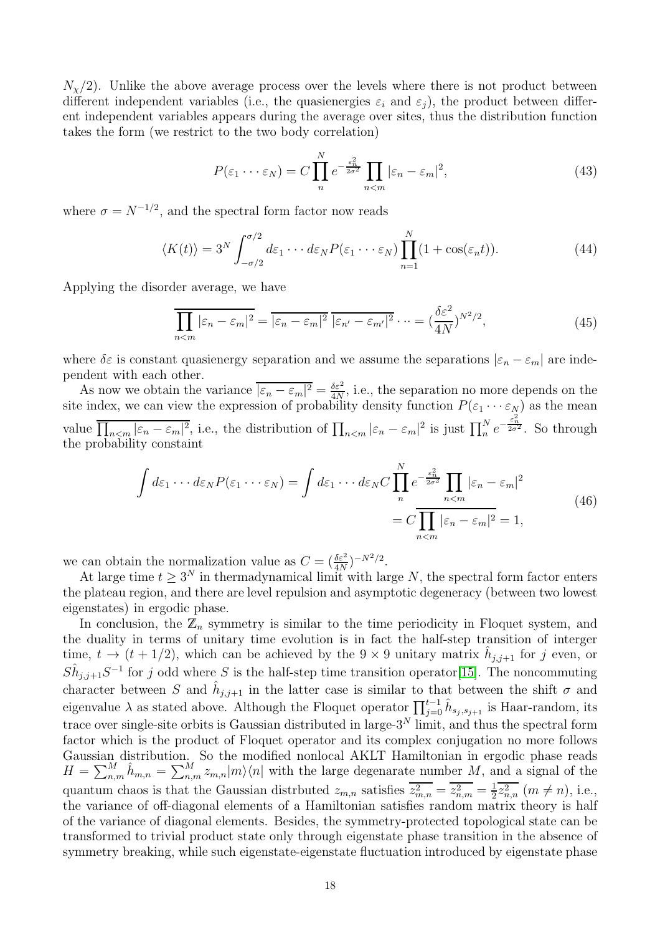$N_{\chi}/2$ ). Unlike the above average process over the levels where there is not product between different independent variables (i.e., the quasienergies  $\varepsilon_i$  and  $\varepsilon_j$ ), the product between different independent variables appears during the average over sites, thus the distribution function takes the form (we restrict to the two body correlation)

$$
P(\varepsilon_1 \cdots \varepsilon_N) = C \prod_n^N e^{-\frac{\varepsilon_n^2}{2\sigma^2}} \prod_{n < m} |\varepsilon_n - \varepsilon_m|^2,\tag{43}
$$

where  $\sigma = N^{-1/2}$ , and the spectral form factor now reads

$$
\langle K(t) \rangle = 3^N \int_{-\sigma/2}^{\sigma/2} d\varepsilon_1 \cdots d\varepsilon_N P(\varepsilon_1 \cdots \varepsilon_N) \prod_{n=1}^N (1 + \cos(\varepsilon_n t)). \tag{44}
$$

Applying the disorder average, we have

$$
\overline{\prod_{n
$$

where  $\delta \varepsilon$  is constant quasienergy separation and we assume the separations  $|\varepsilon_n - \varepsilon_m|$  are independent with each other.

As now we obtain the variance  $\overline{|\varepsilon_n - \varepsilon_m|^2} = \frac{\delta \varepsilon^2}{4N}$  $\frac{\partial \varepsilon^2}{\partial N}$ , i.e., the separation no more depends on the site index, we can view the expression of probability density function  $P(\varepsilon_1 \cdots \varepsilon_N)$  as the mean value  $\overline{\prod_{n \leq m} |\varepsilon_n - \varepsilon_m|^2}$ , i.e., the distribution of  $\prod_{n \leq m} |\varepsilon_n - \varepsilon_m|^2$  is just  $\prod_{n=0}^N e^{-\frac{\varepsilon_n^2}{2\sigma^2}}$ . So through the probability constaint

$$
\int d\varepsilon_1 \cdots d\varepsilon_N P(\varepsilon_1 \cdots \varepsilon_N) = \int d\varepsilon_1 \cdots d\varepsilon_N C \prod_{n=1}^N e^{-\frac{\varepsilon_n^2}{2\sigma^2}} \prod_{n < m} |\varepsilon_n - \varepsilon_m|^2
$$
\n
$$
= C \overline{\prod_{n < m} |\varepsilon_n - \varepsilon_m|^2} = 1,
$$
\n
$$
(46)
$$

we can obtain the normalization value as  $C = (\frac{\delta \varepsilon^2}{4N})^{-N^2/2}$ .

At large time  $t \geq 3^N$  in thermadynamical limit with large N, the spectral form factor enters the plateau region, and there are level repulsion and asymptotic degeneracy (between two lowest eigenstates) in ergodic phase.

In conclusion, the  $\mathbb{Z}_n$  symmetry is similar to the time periodicity in Floquet system, and the duality in terms of unitary time evolution is in fact the half-step transition of interger time,  $t \to (t + 1/2)$ , which can be achieved by the  $9 \times 9$  unitary matrix  $\hat{h}_{j,j+1}$  for j even, or  $S\hat{h}_{j,j+1}S^{-1}$  for j odd where S is the half-step time transition operator [15]. The noncommuting character between S and  $\hat{h}_{j,j+1}$  in the latter case is similar to that between the shift  $\sigma$  and eigenvalue  $\lambda$  as stated above. Although the Floquet operator  $\prod_{j=0}^{t-1} \hat{h}_{s_j,s_{j+1}}$  is Haar-random, its trace over single-site orbits is Gaussian distributed in large- $3<sup>N</sup>$  limit, and thus the spectral form factor which is the product of Floquet operator and its complex conjugation no more follows Gaussian distribution. So the modified nonlocal AKLT Hamiltonian in ergodic phase reads  $H = \sum_{n,m}^{M} \hat{h}_{m,n} = \sum_{n,m}^{M} z_{m,n}|m\rangle\langle n|$  with the large degenarate number M, and a signal of the quantum chaos is that the Gaussian distrbuted  $z_{m,n}$  satisfies  $\overline{z_{m,n}^2} = \overline{z_{n,m}^2} = \frac{1}{2}$  $\frac{1}{2}z_{n,n}^2$   $(m \neq n)$ , i.e., the variance of off-diagonal elements of a Hamiltonian satisfies random matrix theory is half of the variance of diagonal elements. Besides, the symmetry-protected topological state can be transformed to trivial product state only through eigenstate phase transition in the absence of symmetry breaking, while such eigenstate-eigenstate fluctuation introduced by eigenstate phase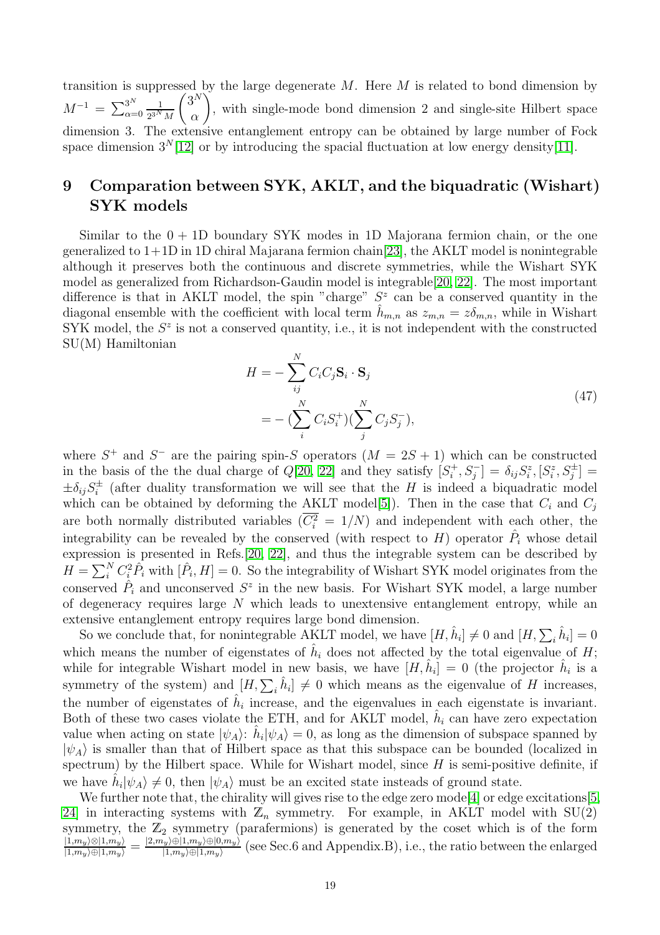transition is suppressed by the large degenerate M. Here M is related to bond dimension by  $M^{-1} = \sum_{\alpha=0}^{3^N}$ 1  $2^{3^N}M$  $\int 3^N$ α  $\setminus$ , with single-mode bond dimension 2 and single-site Hilbert space dimension 3. The extensive entanglement entropy can be obtained by large number of Fock space dimension  $3^N[12]$  or by introducing the spacial fluctuation at low energy density[11].

## 9 Comparation between SYK, AKLT, and the biquadratic (Wishart) SYK models

Similar to the  $0 + 1D$  boundary SYK modes in 1D Majorana fermion chain, or the one generalized to  $1+1D$  in 1D chiral Majarana fermion chain [23], the AKLT model is nonintegrable although it preserves both the continuous and discrete symmetries, while the Wishart SYK model as generalized from Richardson-Gaudin model is integrable[20, 22]. The most important difference is that in AKLT model, the spin "charge"  $S<sup>z</sup>$  can be a conserved quantity in the diagonal ensemble with the coefficient with local term  $\hat{h}_{m,n}$  as  $z_{m,n} = z\delta_{m,n}$ , while in Wishart SYK model, the  $S<sup>z</sup>$  is not a conserved quantity, i.e., it is not independent with the constructed SU(M) Hamiltonian

$$
H = -\sum_{ij}^{N} C_i C_j \mathbf{S}_i \cdot \mathbf{S}_j
$$
  
= 
$$
-(\sum_{i}^{N} C_i S_i^+) (\sum_{j}^{N} C_j S_j^-),
$$
 (47)

where  $S^+$  and  $S^-$  are the pairing spin-S operators  $(M = 2S + 1)$  which can be constructed in the basis of the the dual charge of  $Q[20, 22]$  and they satisfy  $[S_i^+, S_j^-] = \delta_{ij} S_i^z$ ,  $[S_i^z, S_j^{\pm}] =$  $\pm \delta_{ij} S_i^{\pm}$  (after duality transformation we will see that the H is indeed a biquadratic model which can be obtained by deforming the AKLT model<sup>[5]</sup>. Then in the case that  $C_i$  and  $C_j$ are both normally distributed variables  $(C_i^2 = 1/N)$  and independent with each other, the integrability can be revealed by the conserved (with respect to  $H$ ) operator  $\hat{P}_i$  whose detail expression is presented in Refs.[20, 22], and thus the integrable system can be described by  $H = \sum_{i}^{N} C_i^2 \hat{P}_i$  with  $[\hat{P}_i, H] = 0$ . So the integrability of Wishart SYK model originates from the conserved  $\hat{P}_i$  and unconserved  $S^z$  in the new basis. For Wishart SYK model, a large number of degeneracy requires large  $N$  which leads to unextensive entanglement entropy, while an extensive entanglement entropy requires large bond dimension.

So we conclude that, for nonintegrable AKLT model, we have  $[H, \hat{h}_i] \neq 0$  and  $[H, \sum_i \hat{h}_i] = 0$ which means the number of eigenstates of  $\hat{h}_i$  does not affected by the total eigenvalue of H; while for integrable Wishart model in new basis, we have  $[H, \hat{h}_i] = 0$  (the projector  $\hat{h}_i$  is a symmetry of the system) and  $[H, \sum_{i} \hat{h}_i] \neq 0$  which means as the eigenvalue of H increases, the number of eigenstates of  $\hat{h}_i$  increase, and the eigenvalues in each eigenstate is invariant. Both of these two cases violate the ETH, and for AKLT model,  $\hat{h}_i$  can have zero expectation value when acting on state  $|\psi_A\rangle$ :  $\hat{h}_i|\psi_A\rangle = 0$ , as long as the dimension of subspace spanned by  $|\psi_A\rangle$  is smaller than that of Hilbert space as that this subspace can be bounded (localized in spectrum) by the Hilbert space. While for Wishart model, since  $H$  is semi-positive definite, if we have  $\hat{h}_i|\psi_A\rangle \neq 0$ , then  $|\psi_A\rangle$  must be an excited state insteads of ground state.

We further note that, the chirality will gives rise to the edge zero mode<sup>[4]</sup> or edge excitations<sup>[5</sup>, 24] in interacting systems with  $\mathbb{Z}_n$  symmetry. For example, in AKLT model with SU(2) symmetry, the  $\mathbb{Z}_2$  symmetry (parafermions) is generated by the coset which is of the form  $\frac{|1,m_y\rangle\otimes|1,m_y\rangle}{|1,m_y\rangle\oplus|1,m_y\rangle}=\frac{|2,m_y\rangle\oplus|1,m_y\rangle\oplus|0,m_y\rangle}{|1,m_y\rangle\oplus|1,m_y\rangle}$  $\frac{1}{(1,m_y)\oplus(1,m_y)}$  (see Sec.6 and Appendix.B), i.e., the ratio between the enlarged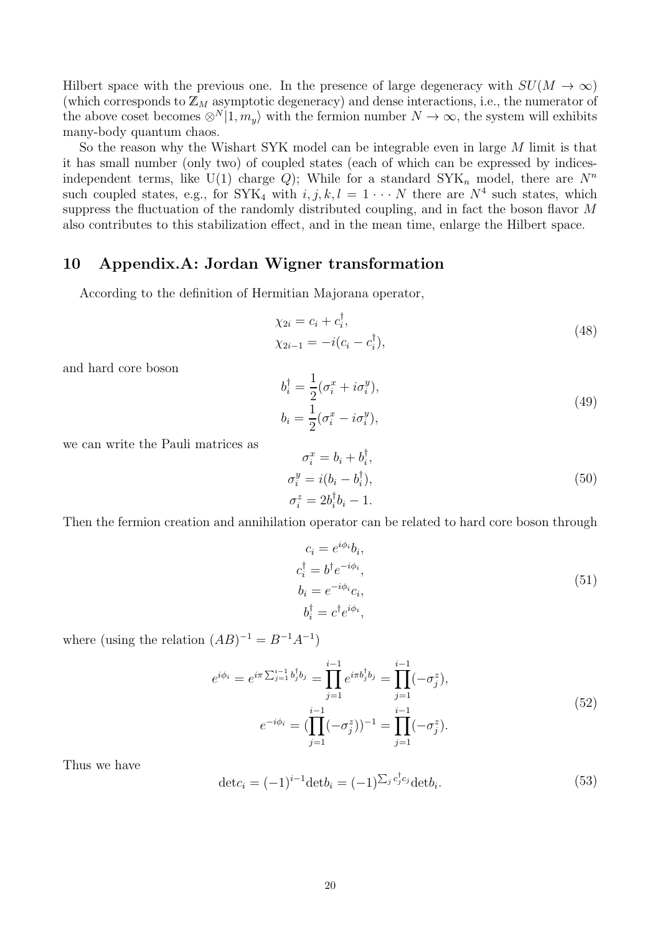Hilbert space with the previous one. In the presence of large degeneracy with  $SU(M \to \infty)$ (which corresponds to  $\mathbb{Z}_M$  asymptotic degeneracy) and dense interactions, i.e., the numerator of the above coset becomes  $\otimes^N |1, m_y\rangle$  with the fermion number  $N \to \infty$ , the system will exhibits many-body quantum chaos.

So the reason why the Wishart SYK model can be integrable even in large M limit is that it has small number (only two) of coupled states (each of which can be expressed by indicesindependent terms, like U(1) charge Q); While for a standard  $SYK_n$  model, there are  $N^n$ such coupled states, e.g., for  $SYK_4$  with  $i, j, k, l = 1 \cdots N$  there are  $N^4$  such states, which suppress the fluctuation of the randomly distributed coupling, and in fact the boson flavor M also contributes to this stabilization effect, and in the mean time, enlarge the Hilbert space.

## 10 Appendix.A: Jordan Wigner transformation

According to the definition of Hermitian Majorana operator,

$$
\chi_{2i} = c_i + c_i^{\dagger}, \n\chi_{2i-1} = -i(c_i - c_i^{\dagger}),
$$
\n(48)

and hard core boson

$$
b_i^{\dagger} = \frac{1}{2} (\sigma_i^x + i \sigma_i^y),
$$
  
\n
$$
b_i = \frac{1}{2} (\sigma_i^x - i \sigma_i^y),
$$
\n(49)

we can write the Pauli matrices as

$$
\sigma_i^x = b_i + b_i^{\dagger},
$$
  
\n
$$
\sigma_i^y = i(b_i - b_i^{\dagger}),
$$
  
\n
$$
\sigma_i^z = 2b_i^{\dagger}b_i - 1.
$$
\n(50)

Then the fermion creation and annihilation operator can be related to hard core boson through

$$
c_i = e^{i\phi_i}b_i,
$$
  
\n
$$
c_i^{\dagger} = b^{\dagger}e^{-i\phi_i},
$$
  
\n
$$
b_i = e^{-i\phi_i}c_i,
$$
  
\n
$$
b_i^{\dagger} = c^{\dagger}e^{i\phi_i},
$$
\n(51)

where (using the relation  $(AB)^{-1} = B^{-1}A^{-1}$ )

$$
e^{i\phi_i} = e^{i\pi \sum_{j=1}^{i-1} b_j^{\dagger} b_j} = \prod_{j=1}^{i-1} e^{i\pi b_j^{\dagger} b_j} = \prod_{j=1}^{i-1} (-\sigma_j^z),
$$
  

$$
e^{-i\phi_i} = (\prod_{j=1}^{i-1} (-\sigma_j^z))^{-1} = \prod_{j=1}^{i-1} (-\sigma_j^z).
$$
 (52)

Thus we have

$$
\det c_i = (-1)^{i-1} \det b_i = (-1)^{\sum_j c_j^{\dagger} c_j} \det b_i.
$$
 (53)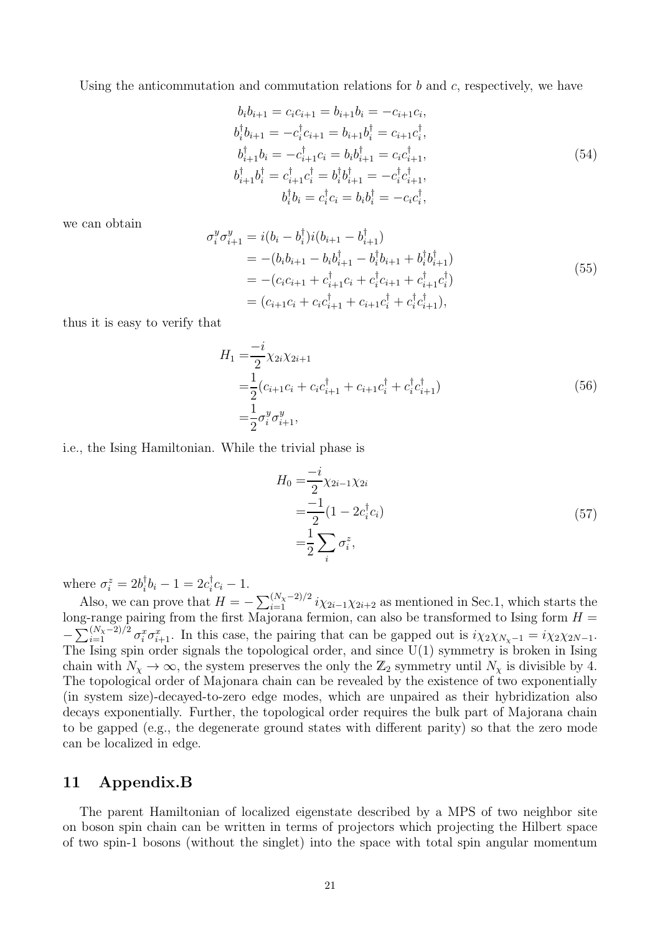Using the anticommutation and commutation relations for  $b$  and  $c$ , respectively, we have

$$
b_i b_{i+1} = c_i c_{i+1} = b_{i+1} b_i = -c_{i+1} c_i,
$$
  
\n
$$
b_i^{\dagger} b_{i+1} = -c_i^{\dagger} c_{i+1} = b_{i+1} b_i^{\dagger} = c_{i+1} c_i^{\dagger},
$$
  
\n
$$
b_{i+1}^{\dagger} b_i = -c_{i+1}^{\dagger} c_i = b_i b_{i+1}^{\dagger} = c_i c_{i+1}^{\dagger},
$$
  
\n
$$
b_{i+1}^{\dagger} b_i^{\dagger} = c_{i+1}^{\dagger} c_i^{\dagger} = b_i^{\dagger} b_{i+1}^{\dagger} = -c_i^{\dagger} c_{i+1}^{\dagger},
$$
  
\n
$$
b_i^{\dagger} b_i = c_i^{\dagger} c_i = b_i b_i^{\dagger} = -c_i c_i^{\dagger},
$$
\n(54)

we can obtain

$$
\sigma_i^y \sigma_{i+1}^y = i(b_i - b_i^{\dagger})i(b_{i+1} - b_{i+1}^{\dagger})
$$
  
=  $-(b_i b_{i+1} - b_i b_{i+1}^{\dagger} - b_i^{\dagger} b_{i+1} + b_i^{\dagger} b_{i+1}^{\dagger})$   
=  $-(c_i c_{i+1} + c_{i+1}^{\dagger} c_i + c_i^{\dagger} c_{i+1} + c_{i+1}^{\dagger} c_i^{\dagger})$   
=  $(c_{i+1} c_i + c_i c_{i+1}^{\dagger} + c_{i+1} c_i^{\dagger} + c_i^{\dagger} c_{i+1}^{\dagger}),$  (55)

thus it is easy to verify that

$$
H_1 = \frac{-i}{2} \chi_{2i} \chi_{2i+1}
$$
  
=  $\frac{1}{2} (c_{i+1}c_i + c_i c_{i+1}^{\dagger} + c_{i+1}c_i^{\dagger} + c_i^{\dagger} c_{i+1}^{\dagger})$   
=  $\frac{1}{2} \sigma_i^y \sigma_{i+1}^y,$  (56)

i.e., the Ising Hamiltonian. While the trivial phase is

$$
H_0 = \frac{-i}{2} \chi_{2i-1} \chi_{2i}
$$
  
=  $\frac{-1}{2} (1 - 2c_i^{\dagger} c_i)$   
=  $\frac{1}{2} \sum_i \sigma_i^z$ , (57)

where  $\sigma_i^z = 2b_i^{\dagger}b_i - 1 = 2c_i^{\dagger}c_i - 1$ .  $i^{v_i - 1}$  -  $\Delta v_i$ 

Also, we can prove that  $H = -\sum_{i=1}^{(N_X-2)/2} i\chi_{2i-1}\chi_{2i+2}$  as mentioned in Sec.1, which starts the long-range pairing from the first Majorana fermion, can also be transformed to Ising form  $H =$  $-\sum_{i=1}^{(N_X-2)/2} \sigma_i^x \sigma_{i+1}^x$ . In this case, the pairing that can be gapped out is  $i\chi_2 \chi_{N_X-1} = i\chi_2 \chi_{2N-1}$ . The Ising spin order signals the topological order, and since  $U(1)$  symmetry is broken in Ising chain with  $N_{\chi} \to \infty$ , the system preserves the only the  $\mathbb{Z}_2$  symmetry until  $N_{\chi}$  is divisible by 4. The topological order of Majonara chain can be revealed by the existence of two exponentially (in system size)-decayed-to-zero edge modes, which are unpaired as their hybridization also decays exponentially. Further, the topological order requires the bulk part of Majorana chain to be gapped (e.g., the degenerate ground states with different parity) so that the zero mode can be localized in edge.

## 11 Appendix.B

The parent Hamiltonian of localized eigenstate described by a MPS of two neighbor site on boson spin chain can be written in terms of projectors which projecting the Hilbert space of two spin-1 bosons (without the singlet) into the space with total spin angular momentum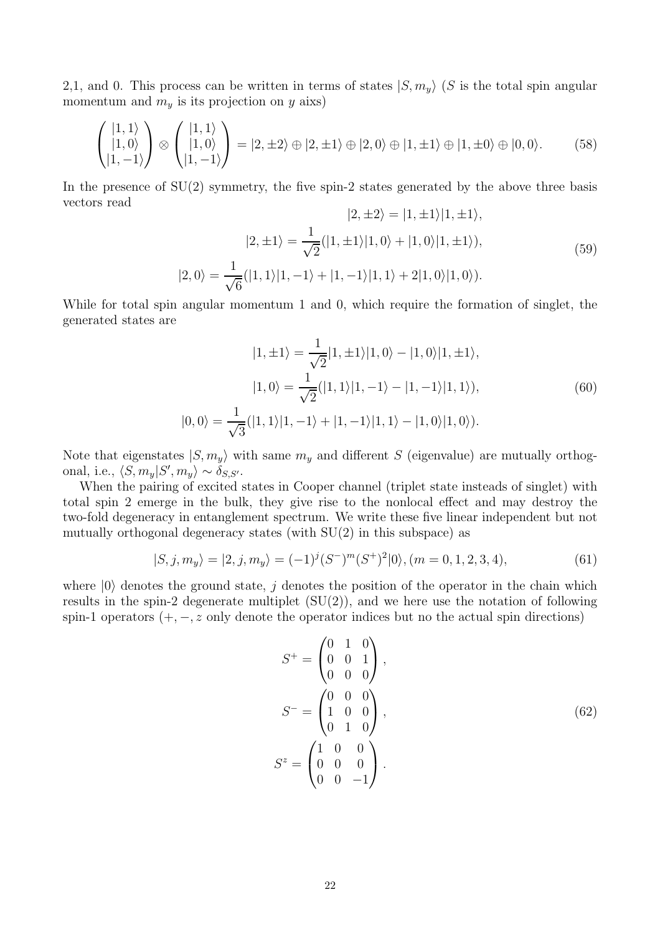2,1, and 0. This process can be written in terms of states  $|S, m_y\rangle$  (S is the total spin angular momentum and  $m_y$  is its projection on y aixs)

$$
\begin{pmatrix} |1,1\rangle \\ |1,0\rangle \\ |1,-1\rangle \end{pmatrix} \otimes \begin{pmatrix} |1,1\rangle \\ |1,0\rangle \\ |1,-1\rangle \end{pmatrix} = |2,\pm 2\rangle \oplus |2,\pm 1\rangle \oplus |2,0\rangle \oplus |1,\pm 1\rangle \oplus |1,\pm 0\rangle \oplus |0,0\rangle. \tag{58}
$$

In the presence of  $SU(2)$  symmetry, the five spin-2 states generated by the above three basis vectors read  $|2, +2\rangle$   $|1, +1\rangle$  $|1, +1\rangle$ 

$$
|2, \pm 2\rangle = |1, \pm 1\rangle |1, \pm 1\rangle,
$$
  
\n
$$
|2, \pm 1\rangle = \frac{1}{\sqrt{2}}(|1, \pm 1\rangle |1, 0\rangle + |1, 0\rangle |1, \pm 1\rangle),
$$
  
\n
$$
|2, 0\rangle = \frac{1}{\sqrt{6}}(|1, 1\rangle |1, -1\rangle + |1, -1\rangle |1, 1\rangle + 2|1, 0\rangle |1, 0\rangle).
$$
  
\n(59)

While for total spin angular momentum 1 and 0, which require the formation of singlet, the generated states are

$$
|1, \pm 1\rangle = \frac{1}{\sqrt{2}} |1, \pm 1\rangle |1, 0\rangle - |1, 0\rangle |1, \pm 1\rangle,
$$
  

$$
|1, 0\rangle = \frac{1}{\sqrt{2}} (|1, 1\rangle |1, -1\rangle - |1, -1\rangle |1, 1\rangle),
$$
  

$$
|0, 0\rangle = \frac{1}{\sqrt{3}} (|1, 1\rangle |1, -1\rangle + |1, -1\rangle |1, 1\rangle - |1, 0\rangle |1, 0\rangle).
$$
 (60)

Note that eigenstates  $|S, m_y\rangle$  with same  $m_y$  and different S (eigenvalue) are mutually orthogonal, i.e.,  $\langle S, m_y | S', m_y \rangle \sim \delta_{S, S'}.$ 

When the pairing of excited states in Cooper channel (triplet state insteads of singlet) with total spin 2 emerge in the bulk, they give rise to the nonlocal effect and may destroy the two-fold degeneracy in entanglement spectrum. We write these five linear independent but not mutually orthogonal degeneracy states (with  $SU(2)$ ) in this subspace) as

$$
|S, j, m_y\rangle = |2, j, m_y\rangle = (-1)^j (S^-)^m (S^+)^2 |0\rangle, (m = 0, 1, 2, 3, 4),
$$
\n(61)

where  $|0\rangle$  denotes the ground state, j denotes the position of the operator in the chain which results in the spin-2 degenerate multiplet  $(SU(2))$ , and we here use the notation of following spin-1 operators  $(+, -, z)$  only denote the operator indices but no the actual spin directions)

$$
S^{+} = \begin{pmatrix} 0 & 1 & 0 \\ 0 & 0 & 1 \\ 0 & 0 & 0 \end{pmatrix},
$$
  
\n
$$
S^{-} = \begin{pmatrix} 0 & 0 & 0 \\ 1 & 0 & 0 \\ 0 & 1 & 0 \end{pmatrix},
$$
  
\n
$$
S^{z} = \begin{pmatrix} 1 & 0 & 0 \\ 0 & 0 & 0 \\ 0 & 0 & -1 \end{pmatrix}.
$$
 (62)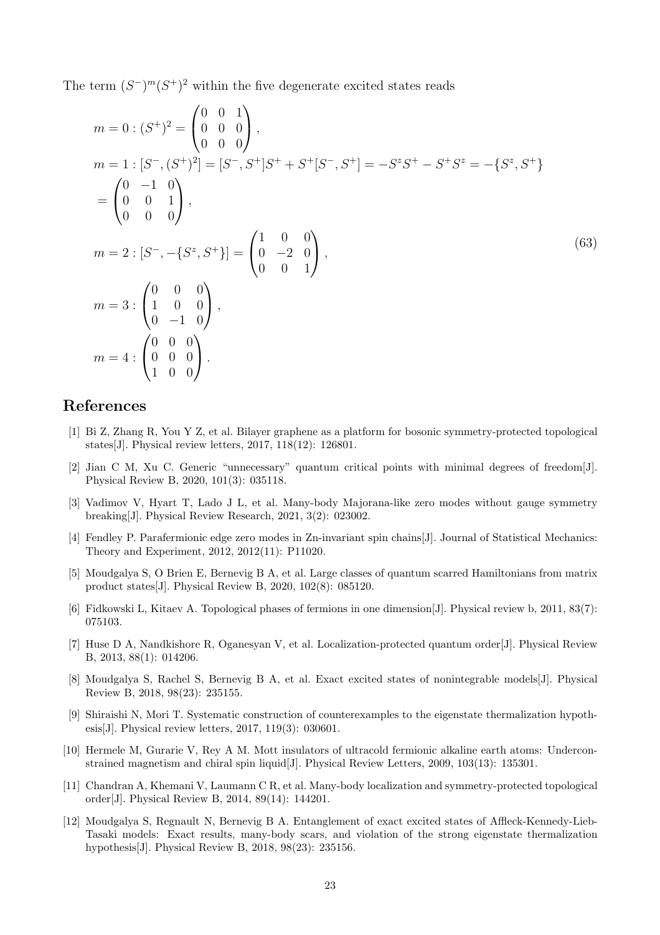The term  $(S^-)^m (S^+)^2$  within the five degenerate excited states reads

$$
m = 0 : (S^+)^2 = \begin{pmatrix} 0 & 0 & 1 \\ 0 & 0 & 0 \\ 0 & 0 & 0 \end{pmatrix},
$$
  
\n
$$
m = 1 : [S^-, (S^+)^2] = [S^-, S^+]S^+ + S^+[S^-, S^+] = -S^zS^+ - S^+S^z = -\{S^z, S^+\}
$$
  
\n
$$
= \begin{pmatrix} 0 & -1 & 0 \\ 0 & 0 & 1 \\ 0 & 0 & 0 \end{pmatrix},
$$
  
\n
$$
m = 2 : [S^-, -\{S^z, S^+\}] = \begin{pmatrix} 1 & 0 & 0 \\ 0 & -2 & 0 \\ 0 & 0 & 1 \end{pmatrix},
$$
  
\n
$$
m = 3 : \begin{pmatrix} 0 & 0 & 0 \\ 1 & 0 & 0 \\ 0 & -1 & 0 \end{pmatrix},
$$
  
\n
$$
m = 4 : \begin{pmatrix} 0 & 0 & 0 \\ 0 & 0 & 0 \\ 1 & 0 & 0 \end{pmatrix}.
$$
  
\n(63)

## References

- [1] Bi Z, Zhang R, You Y Z, et al. Bilayer graphene as a platform for bosonic symmetry-protected topological states[J]. Physical review letters, 2017, 118(12): 126801.
- [2] Jian C M, Xu C. Generic "unnecessary" quantum critical points with minimal degrees of freedom[J]. Physical Review B, 2020, 101(3): 035118.
- [3] Vadimov V, Hyart T, Lado J L, et al. Many-body Majorana-like zero modes without gauge symmetry breaking[J]. Physical Review Research, 2021, 3(2): 023002.
- [4] Fendley P. Parafermionic edge zero modes in Zn-invariant spin chains[J]. Journal of Statistical Mechanics: Theory and Experiment, 2012, 2012(11): P11020.
- [5] Moudgalya S, O Brien E, Bernevig B A, et al. Large classes of quantum scarred Hamiltonians from matrix product states[J]. Physical Review B, 2020, 102(8): 085120.
- [6] Fidkowski L, Kitaev A. Topological phases of fermions in one dimension[J]. Physical review b, 2011, 83(7): 075103.
- [7] Huse D A, Nandkishore R, Oganesyan V, et al. Localization-protected quantum order[J]. Physical Review B, 2013, 88(1): 014206.
- [8] Moudgalya S, Rachel S, Bernevig B A, et al. Exact excited states of nonintegrable models[J]. Physical Review B, 2018, 98(23): 235155.
- [9] Shiraishi N, Mori T. Systematic construction of counterexamples to the eigenstate thermalization hypothesis[J]. Physical review letters, 2017, 119(3): 030601.
- [10] Hermele M, Gurarie V, Rey A M. Mott insulators of ultracold fermionic alkaline earth atoms: Underconstrained magnetism and chiral spin liquid[J]. Physical Review Letters, 2009, 103(13): 135301.
- [11] Chandran A, Khemani V, Laumann C R, et al. Many-body localization and symmetry-protected topological order[J]. Physical Review B, 2014, 89(14): 144201.
- [12] Moudgalya S, Regnault N, Bernevig B A. Entanglement of exact excited states of Affleck-Kennedy-Lieb-Tasaki models: Exact results, many-body scars, and violation of the strong eigenstate thermalization hypothesis[J]. Physical Review B, 2018, 98(23): 235156.